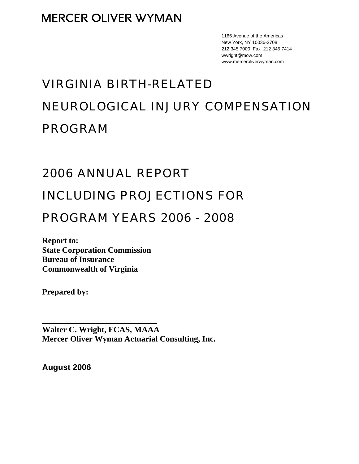1166 Avenue of the Americas New York, NY 10036-2708 212 345 7000 Fax 212 345 7414 wwright@mow.com www.merceroliverwyman.com

# VIRGINIA BIRTH-RELATED NEUROLOGICAL INJURY COMPENSATION PROGRAM

# 2006 ANNUAL REPORT

# INCLUDING PROJECTIONS FOR

# PROGRAM YEARS 2006 - 2008

**Report to: State Corporation Commission Bureau of Insurance Commonwealth of Virginia** 

**\_\_\_\_\_\_\_\_\_\_\_\_\_\_\_\_\_\_\_\_\_\_\_\_\_\_\_\_** 

**Prepared by:** 

**Walter C. Wright, FCAS, MAAA Mercer Oliver Wyman Actuarial Consulting, Inc.** 

**August 2006**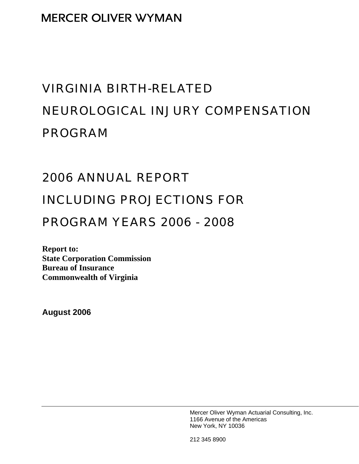# VIRGINIA BIRTH-RELATED NEUROLOGICAL INJURY COMPENSATION PROGRAM

# 2006 ANNUAL REPORT

# INCLUDING PROJECTIONS FOR

# PROGRAM YEARS 2006 - 2008

**Report to: State Corporation Commission Bureau of Insurance Commonwealth of Virginia** 

**August 2006** 

Mercer Oliver Wyman Actuarial Consulting, Inc. 1166 Avenue of the Americas New York, NY 10036

212 345 8900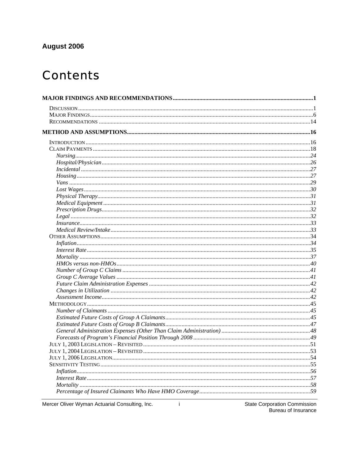## August 2006

# **Contents**

Mercer Oliver Wyman Actuarial Consulting, Inc.

 $\mathbf{i}$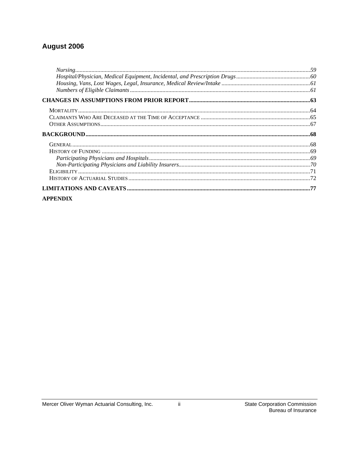## August 2006

### **APPENDIX**

 $\ddot{\rm H}$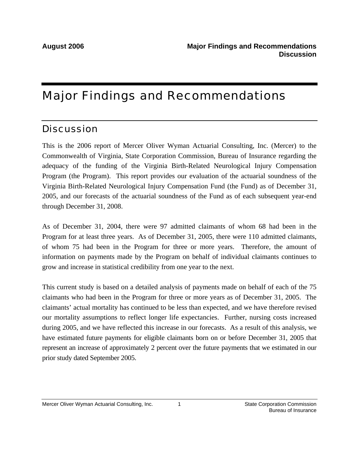# Major Findings and Recommendations

# **Discussion**

This is the 2006 report of Mercer Oliver Wyman Actuarial Consulting, Inc. (Mercer) to the Commonwealth of Virginia, State Corporation Commission, Bureau of Insurance regarding the adequacy of the funding of the Virginia Birth-Related Neurological Injury Compensation Program (the Program). This report provides our evaluation of the actuarial soundness of the Virginia Birth-Related Neurological Injury Compensation Fund (the Fund) as of December 31, 2005, and our forecasts of the actuarial soundness of the Fund as of each subsequent year-end through December 31, 2008.

As of December 31, 2004, there were 97 admitted claimants of whom 68 had been in the Program for at least three years. As of December 31, 2005, there were 110 admitted claimants, of whom 75 had been in the Program for three or more years. Therefore, the amount of information on payments made by the Program on behalf of individual claimants continues to grow and increase in statistical credibility from one year to the next.

This current study is based on a detailed analysis of payments made on behalf of each of the 75 claimants who had been in the Program for three or more years as of December 31, 2005. The claimants' actual mortality has continued to be less than expected, and we have therefore revised our mortality assumptions to reflect longer life expectancies. Further, nursing costs increased during 2005, and we have reflected this increase in our forecasts. As a result of this analysis, we have estimated future payments for eligible claimants born on or before December 31, 2005 that represent an increase of approximately 2 percent over the future payments that we estimated in our prior study dated September 2005.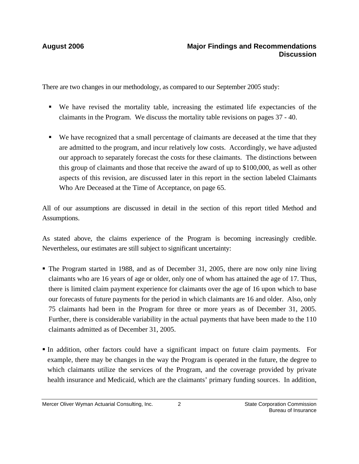There are two changes in our methodology, as compared to our September 2005 study:

- We have revised the mortality table, increasing the estimated life expectancies of the claimants in the Program. We discuss the mortality table revisions on pages 37 - 40.
- We have recognized that a small percentage of claimants are deceased at the time that they are admitted to the program, and incur relatively low costs. Accordingly, we have adjusted our approach to separately forecast the costs for these claimants. The distinctions between this group of claimants and those that receive the award of up to \$100,000, as well as other aspects of this revision, are discussed later in this report in the section labeled Claimants Who Are Deceased at the Time of Acceptance, on page 65.

All of our assumptions are discussed in detail in the section of this report titled Method and Assumptions.

As stated above, the claims experience of the Program is becoming increasingly credible. Nevertheless, our estimates are still subject to significant uncertainty:

- The Program started in 1988, and as of December 31, 2005, there are now only nine living claimants who are 16 years of age or older, only one of whom has attained the age of 17. Thus, there is limited claim payment experience for claimants over the age of 16 upon which to base our forecasts of future payments for the period in which claimants are 16 and older. Also, only 75 claimants had been in the Program for three or more years as of December 31, 2005. Further, there is considerable variability in the actual payments that have been made to the 110 claimants admitted as of December 31, 2005.
- In addition, other factors could have a significant impact on future claim payments. For example, there may be changes in the way the Program is operated in the future, the degree to which claimants utilize the services of the Program, and the coverage provided by private health insurance and Medicaid, which are the claimants' primary funding sources. In addition,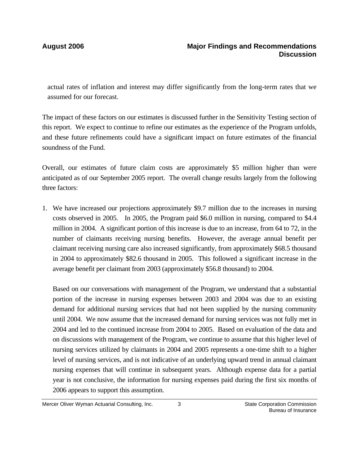actual rates of inflation and interest may differ significantly from the long-term rates that we assumed for our forecast.

The impact of these factors on our estimates is discussed further in the Sensitivity Testing section of this report. We expect to continue to refine our estimates as the experience of the Program unfolds, and these future refinements could have a significant impact on future estimates of the financial soundness of the Fund.

Overall, our estimates of future claim costs are approximately \$5 million higher than were anticipated as of our September 2005 report. The overall change results largely from the following three factors:

1. We have increased our projections approximately \$9.7 million due to the increases in nursing costs observed in 2005. In 2005, the Program paid \$6.0 million in nursing, compared to \$4.4 million in 2004. A significant portion of this increase is due to an increase, from 64 to 72, in the number of claimants receiving nursing benefits. However, the average annual benefit per claimant receiving nursing care also increased significantly, from approximately \$68.5 thousand in 2004 to approximately \$82.6 thousand in 2005. This followed a significant increase in the average benefit per claimant from 2003 (approximately \$56.8 thousand) to 2004.

Based on our conversations with management of the Program, we understand that a substantial portion of the increase in nursing expenses between 2003 and 2004 was due to an existing demand for additional nursing services that had not been supplied by the nursing community until 2004. We now assume that the increased demand for nursing services was not fully met in 2004 and led to the continued increase from 2004 to 2005. Based on evaluation of the data and on discussions with management of the Program, we continue to assume that this higher level of nursing services utilized by claimants in 2004 and 2005 represents a one-time shift to a higher level of nursing services, and is not indicative of an underlying upward trend in annual claimant nursing expenses that will continue in subsequent years. Although expense data for a partial year is not conclusive, the information for nursing expenses paid during the first six months of 2006 appears to support this assumption.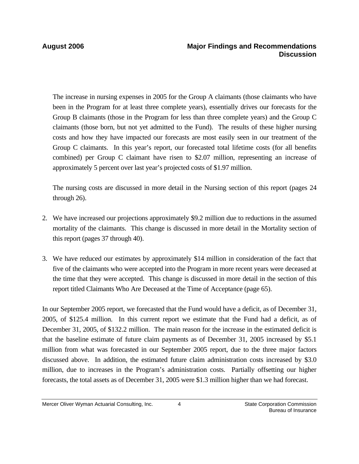The increase in nursing expenses in 2005 for the Group A claimants (those claimants who have been in the Program for at least three complete years), essentially drives our forecasts for the Group B claimants (those in the Program for less than three complete years) and the Group C claimants (those born, but not yet admitted to the Fund). The results of these higher nursing costs and how they have impacted our forecasts are most easily seen in our treatment of the Group C claimants. In this year's report, our forecasted total lifetime costs (for all benefits combined) per Group C claimant have risen to \$2.07 million, representing an increase of approximately 5 percent over last year's projected costs of \$1.97 million.

The nursing costs are discussed in more detail in the Nursing section of this report (pages 24 through 26).

- 2. We have increased our projections approximately \$9.2 million due to reductions in the assumed mortality of the claimants. This change is discussed in more detail in the Mortality section of this report (pages 37 through 40).
- 3. We have reduced our estimates by approximately \$14 million in consideration of the fact that five of the claimants who were accepted into the Program in more recent years were deceased at the time that they were accepted. This change is discussed in more detail in the section of this report titled Claimants Who Are Deceased at the Time of Acceptance (page 65).

In our September 2005 report, we forecasted that the Fund would have a deficit, as of December 31, 2005, of \$125.4 million. In this current report we estimate that the Fund had a deficit, as of December 31, 2005, of \$132.2 million. The main reason for the increase in the estimated deficit is that the baseline estimate of future claim payments as of December 31, 2005 increased by \$5.1 million from what was forecasted in our September 2005 report, due to the three major factors discussed above. In addition, the estimated future claim administration costs increased by \$3.0 million, due to increases in the Program's administration costs. Partially offsetting our higher forecasts, the total assets as of December 31, 2005 were \$1.3 million higher than we had forecast.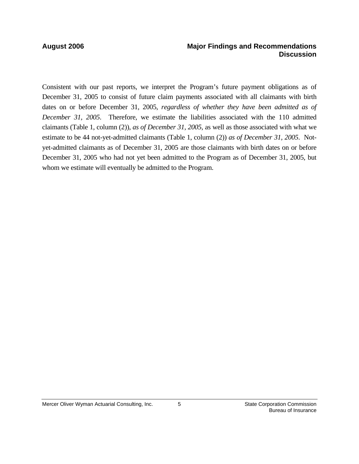### **August 2006 Major Findings and Recommendations Discussion**

Consistent with our past reports, we interpret the Program's future payment obligations as of December 31, 2005 to consist of future claim payments associated with all claimants with birth dates on or before December 31, 2005, *regardless of whether they have been admitted as of December 31, 2005*. Therefore, we estimate the liabilities associated with the 110 admitted claimants (Table 1, column (2)), *as of December 31, 2005,* as well as those associated with what we estimate to be 44 not-yet-admitted claimants (Table 1, column (2)) *as of December 31, 2005*. Notyet-admitted claimants as of December 31, 2005 are those claimants with birth dates on or before December 31, 2005 who had not yet been admitted to the Program as of December 31, 2005, but whom we estimate will eventually be admitted to the Program.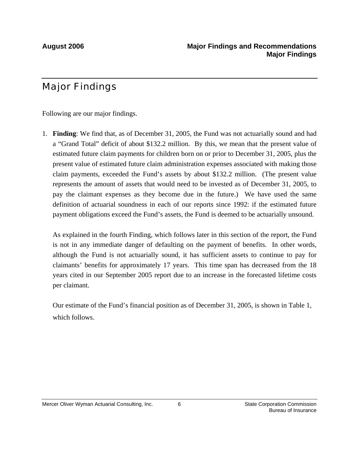# Major Findings

Following are our major findings.

1. **Finding**: We find that, as of December 31, 2005, the Fund was not actuarially sound and had a "Grand Total" deficit of about \$132.2 million. By this, we mean that the present value of estimated future claim payments for children born on or prior to December 31, 2005, plus the present value of estimated future claim administration expenses associated with making those claim payments, exceeded the Fund's assets by about \$132.2 million. (The present value represents the amount of assets that would need to be invested as of December 31, 2005, to pay the claimant expenses as they become due in the future.) We have used the same definition of actuarial soundness in each of our reports since 1992: if the estimated future payment obligations exceed the Fund's assets, the Fund is deemed to be actuarially unsound.

As explained in the fourth Finding, which follows later in this section of the report, the Fund is not in any immediate danger of defaulting on the payment of benefits. In other words, although the Fund is not actuarially sound, it has sufficient assets to continue to pay for claimants' benefits for approximately 17 years. This time span has decreased from the 18 years cited in our September 2005 report due to an increase in the forecasted lifetime costs per claimant.

Our estimate of the Fund's financial position as of December 31, 2005, is shown in Table 1, which follows.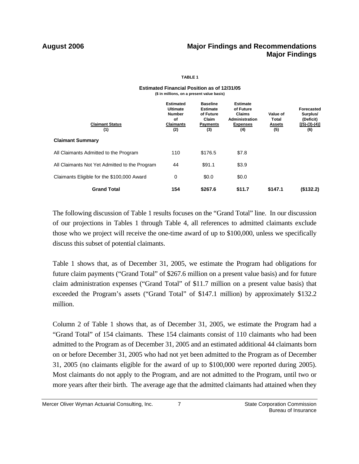### **August 2006 Major Findings and Recommendations Major Findings**

### **TABLE 1**

| (\$ in millions, on a present value basis)    |                                                                                       |                                                                                    |                                                                                           |                                           |                                                                      |
|-----------------------------------------------|---------------------------------------------------------------------------------------|------------------------------------------------------------------------------------|-------------------------------------------------------------------------------------------|-------------------------------------------|----------------------------------------------------------------------|
| <b>Claimant Status</b><br>(1)                 | <b>Estimated</b><br><b>Ultimate</b><br><b>Number</b><br>οf<br><b>Claimants</b><br>(2) | <b>Baseline</b><br><b>Estimate</b><br>of Future<br>Claim<br><b>Payments</b><br>(3) | <b>Estimate</b><br>of Future<br><b>Claims</b><br>Administration<br><b>Expenses</b><br>(4) | Value of<br>Total<br><u>Assets</u><br>(5) | <b>Forecasted</b><br>Surplus/<br>(Deficit)<br>$[(5)-(3)-(4)]$<br>(6) |
| <b>Claimant Summary</b>                       |                                                                                       |                                                                                    |                                                                                           |                                           |                                                                      |
| All Claimants Admitted to the Program         | 110                                                                                   | \$176.5                                                                            | \$7.8                                                                                     |                                           |                                                                      |
| All Claimants Not Yet Admitted to the Program | 44                                                                                    | \$91.1                                                                             | \$3.9                                                                                     |                                           |                                                                      |
| Claimants Eligible for the \$100,000 Award    | 0                                                                                     | \$0.0                                                                              | \$0.0                                                                                     |                                           |                                                                      |
| <b>Grand Total</b>                            | 154                                                                                   | \$267.6                                                                            | \$11.7                                                                                    | \$147.1                                   | (\$132.2)                                                            |

# **Estimated Financial Position as of 12/31/05**

 The following discussion of Table 1 results focuses on the "Grand Total" line. In our discussion of our projections in Tables 1 through Table 4, all references to admitted claimants exclude those who we project will receive the one-time award of up to \$100,000, unless we specifically discuss this subset of potential claimants.

Table 1 shows that, as of December 31, 2005, we estimate the Program had obligations for future claim payments ("Grand Total" of \$267.6 million on a present value basis) and for future claim administration expenses ("Grand Total" of \$11.7 million on a present value basis) that exceeded the Program's assets ("Grand Total" of \$147.1 million) by approximately \$132.2 million.

Column 2 of Table 1 shows that, as of December 31, 2005, we estimate the Program had a "Grand Total" of 154 claimants. These 154 claimants consist of 110 claimants who had been admitted to the Program as of December 31, 2005 and an estimated additional 44 claimants born on or before December 31, 2005 who had not yet been admitted to the Program as of December 31, 2005 (no claimants eligible for the award of up to \$100,000 were reported during 2005). Most claimants do not apply to the Program, and are not admitted to the Program, until two or more years after their birth. The average age that the admitted claimants had attained when they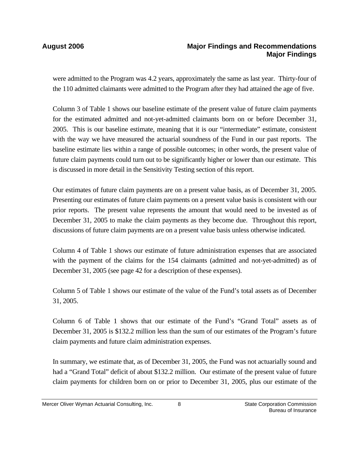### **August 2006 Major Findings and Recommendations Major Findings**

were admitted to the Program was 4.2 years, approximately the same as last year. Thirty-four of the 110 admitted claimants were admitted to the Program after they had attained the age of five.

Column 3 of Table 1 shows our baseline estimate of the present value of future claim payments for the estimated admitted and not-yet-admitted claimants born on or before December 31, 2005. This is our baseline estimate, meaning that it is our "intermediate" estimate, consistent with the way we have measured the actuarial soundness of the Fund in our past reports. The baseline estimate lies within a range of possible outcomes; in other words, the present value of future claim payments could turn out to be significantly higher or lower than our estimate. This is discussed in more detail in the Sensitivity Testing section of this report.

Our estimates of future claim payments are on a present value basis, as of December 31, 2005. Presenting our estimates of future claim payments on a present value basis is consistent with our prior reports. The present value represents the amount that would need to be invested as of December 31, 2005 to make the claim payments as they become due. Throughout this report, discussions of future claim payments are on a present value basis unless otherwise indicated.

Column 4 of Table 1 shows our estimate of future administration expenses that are associated with the payment of the claims for the 154 claimants (admitted and not-yet-admitted) as of December 31, 2005 (see page 42 for a description of these expenses).

Column 5 of Table 1 shows our estimate of the value of the Fund's total assets as of December 31, 2005.

Column 6 of Table 1 shows that our estimate of the Fund's "Grand Total" assets as of December 31, 2005 is \$132.2 million less than the sum of our estimates of the Program's future claim payments and future claim administration expenses.

In summary, we estimate that, as of December 31, 2005, the Fund was not actuarially sound and had a "Grand Total" deficit of about \$132.2 million. Our estimate of the present value of future claim payments for children born on or prior to December 31, 2005, plus our estimate of the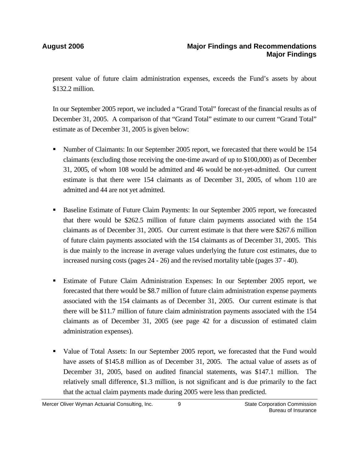present value of future claim administration expenses, exceeds the Fund's assets by about \$132.2 million.

In our September 2005 report, we included a "Grand Total" forecast of the financial results as of December 31, 2005. A comparison of that "Grand Total" estimate to our current "Grand Total" estimate as of December 31, 2005 is given below:

- Number of Claimants: In our September 2005 report, we forecasted that there would be 154 claimants (excluding those receiving the one-time award of up to \$100,000) as of December 31, 2005, of whom 108 would be admitted and 46 would be not-yet-admitted. Our current estimate is that there were 154 claimants as of December 31, 2005, of whom 110 are admitted and 44 are not yet admitted.
- Baseline Estimate of Future Claim Payments: In our September 2005 report, we forecasted that there would be \$262.5 million of future claim payments associated with the 154 claimants as of December 31, 2005. Our current estimate is that there were \$267.6 million of future claim payments associated with the 154 claimants as of December 31, 2005. This is due mainly to the increase in average values underlying the future cost estimates, due to increased nursing costs (pages 24 - 26) and the revised mortality table (pages 37 - 40).
- Estimate of Future Claim Administration Expenses: In our September 2005 report, we forecasted that there would be \$8.7 million of future claim administration expense payments associated with the 154 claimants as of December 31, 2005. Our current estimate is that there will be \$11.7 million of future claim administration payments associated with the 154 claimants as of December 31, 2005 (see page 42 for a discussion of estimated claim administration expenses).
- Value of Total Assets: In our September 2005 report, we forecasted that the Fund would have assets of \$145.8 million as of December 31, 2005. The actual value of assets as of December 31, 2005, based on audited financial statements, was \$147.1 million. The relatively small difference, \$1.3 million, is not significant and is due primarily to the fact that the actual claim payments made during 2005 were less than predicted.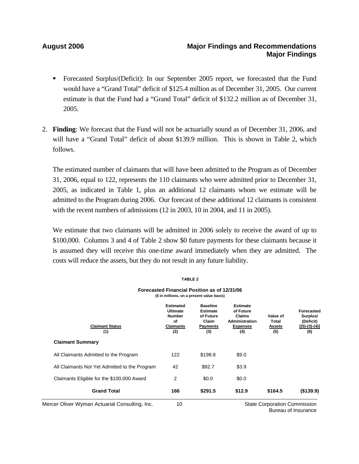### **August 2006 Major Findings and Recommendations Major Findings**

- Forecasted Surplus/(Deficit): In our September 2005 report, we forecasted that the Fund would have a "Grand Total" deficit of \$125.4 million as of December 31, 2005. Our current estimate is that the Fund had a "Grand Total" deficit of \$132.2 million as of December 31, 2005.
- 2. **Finding**: We forecast that the Fund will not be actuarially sound as of December 31, 2006, and will have a "Grand Total" deficit of about \$139.9 million. This is shown in Table 2, which follows.

The estimated number of claimants that will have been admitted to the Program as of December 31, 2006, equal to 122, represents the 110 claimants who were admitted prior to December 31, 2005, as indicated in Table 1, plus an additional 12 claimants whom we estimate will be admitted to the Program during 2006. Our forecast of these additional 12 claimants is consistent with the recent numbers of admissions (12 in 2003, 10 in 2004, and 11 in 2005).

We estimate that two claimants will be admitted in 2006 solely to receive the award of up to \$100,000. Columns 3 and 4 of Table 2 show \$0 future payments for these claimants because it is assumed they will receive this one-time award immediately when they are admitted. The costs will reduce the assets, but they do not result in any future liability.

**TABLE 2**

|                                                | IAPLL 4                                                                                    |                                                                                    |                                                                                           |                                           |                                                               |
|------------------------------------------------|--------------------------------------------------------------------------------------------|------------------------------------------------------------------------------------|-------------------------------------------------------------------------------------------|-------------------------------------------|---------------------------------------------------------------|
|                                                | Forecasted Financial Position as of 12/31/06<br>(\$ in millions, on a present value basis) |                                                                                    |                                                                                           |                                           |                                                               |
| <b>Claimant Status</b><br>(1)                  | <b>Estimated</b><br>Ultimate<br><b>Number</b><br>of<br><b>Claimants</b><br>(2)             | <b>Baseline</b><br><b>Estimate</b><br>of Future<br>Claim<br><b>Payments</b><br>(3) | <b>Estimate</b><br>of Future<br><b>Claims</b><br>Administration<br><b>Expenses</b><br>(4) | Value of<br>Total<br><b>Assets</b><br>(5) | Forecasted<br>Surplus/<br>(Deficit)<br>$[(5)-(3)-(4)]$<br>(6) |
| <b>Claimant Summary</b>                        |                                                                                            |                                                                                    |                                                                                           |                                           |                                                               |
| All Claimants Admitted to the Program          | 122                                                                                        | \$198.8                                                                            | \$9.0                                                                                     |                                           |                                                               |
| All Claimants Not Yet Admitted to the Program  | 42                                                                                         | \$92.7                                                                             | \$3.9                                                                                     |                                           |                                                               |
| Claimants Eligible for the \$100,000 Award     | $\overline{c}$                                                                             | \$0.0                                                                              | \$0.0                                                                                     |                                           |                                                               |
| <b>Grand Total</b>                             | 166                                                                                        | \$291.5                                                                            | \$12.9                                                                                    | \$164.5                                   | (\$139.9)                                                     |
| Mercer Oliver Wyman Actuarial Consulting, Inc. | 10                                                                                         |                                                                                    |                                                                                           | <b>State Corporation Commission</b>       |                                                               |

Bureau of Insurance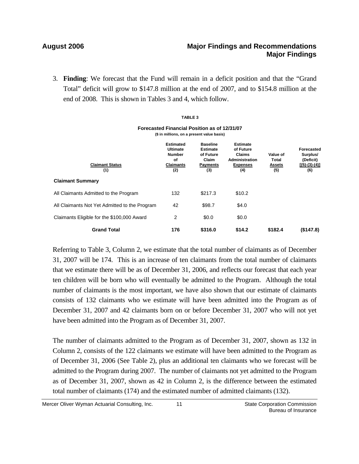3. **Finding**: We forecast that the Fund will remain in a deficit position and that the "Grand Total" deficit will grow to \$147.8 million at the end of 2007, and to \$154.8 million at the end of 2008. This is shown in Tables 3 and 4, which follow.

### **TABLE 3**

| Forecasted Financial Position as of 12/31/07 |
|----------------------------------------------|
| (\$ in millions, on a present value basis)   |

| <b>Claimant Status</b><br>(1)                 | <b>Estimated</b><br><b>Ultimate</b><br><b>Number</b><br>Οf<br><b>Claimants</b><br>(2) | <b>Baseline</b><br><b>Estimate</b><br>of Future<br>Claim<br><b>Payments</b><br>(3) | <b>Estimate</b><br>of Future<br><b>Claims</b><br>Administration<br><b>Expenses</b><br>(4) | Value of<br>Total<br><b>Assets</b><br>(5) | <b>Forecasted</b><br>Surplus/<br>(Deficit)<br>$[(5)-(3)-(4)]$<br>(6) |
|-----------------------------------------------|---------------------------------------------------------------------------------------|------------------------------------------------------------------------------------|-------------------------------------------------------------------------------------------|-------------------------------------------|----------------------------------------------------------------------|
| <b>Claimant Summary</b>                       |                                                                                       |                                                                                    |                                                                                           |                                           |                                                                      |
| All Claimants Admitted to the Program         | 132                                                                                   | \$217.3                                                                            | \$10.2                                                                                    |                                           |                                                                      |
| All Claimants Not Yet Admitted to the Program | 42                                                                                    | \$98.7                                                                             | \$4.0                                                                                     |                                           |                                                                      |
| Claimants Eligible for the \$100,000 Award    | 2                                                                                     | \$0.0                                                                              | \$0.0                                                                                     |                                           |                                                                      |
| <b>Grand Total</b>                            | 176                                                                                   | \$316.0                                                                            | \$14.2                                                                                    | \$182.4                                   | (\$147.8)                                                            |

Referring to Table 3, Column 2, we estimate that the total number of claimants as of December 31, 2007 will be 174. This is an increase of ten claimants from the total number of claimants that we estimate there will be as of December 31, 2006, and reflects our forecast that each year ten children will be born who will eventually be admitted to the Program. Although the total number of claimants is the most important, we have also shown that our estimate of claimants consists of 132 claimants who we estimate will have been admitted into the Program as of December 31, 2007 and 42 claimants born on or before December 31, 2007 who will not yet have been admitted into the Program as of December 31, 2007.

The number of claimants admitted to the Program as of December 31, 2007, shown as 132 in Column 2, consists of the 122 claimants we estimate will have been admitted to the Program as of December 31, 2006 (See Table 2), plus an additional ten claimants who we forecast will be admitted to the Program during 2007. The number of claimants not yet admitted to the Program as of December 31, 2007, shown as 42 in Column 2, is the difference between the estimated total number of claimants (174) and the estimated number of admitted claimants (132).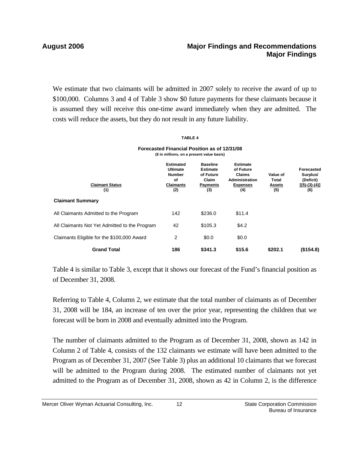### **August 2006 Major Findings and Recommendations Major Findings**

We estimate that two claimants will be admitted in 2007 solely to receive the award of up to \$100,000. Columns 3 and 4 of Table 3 show \$0 future payments for these claimants because it is assumed they will receive this one-time award immediately when they are admitted. The costs will reduce the assets, but they do not result in any future liability.

### **TABLE 4**

### **(\$ in millions, on a present value basis) Forecasted Financial Position as of 12/31/08**

| <b>Claimant Status</b><br>(1)                 | <b>Estimated</b><br><b>Ultimate</b><br><b>Number</b><br>οf<br>Claimants<br>(2) | <b>Baseline</b><br><b>Estimate</b><br>of Future<br>Claim<br><b>Payments</b><br>(3) | <b>Estimate</b><br>of Future<br><b>Claims</b><br>Administration<br><b>Expenses</b><br>(4) | Value of<br>Total<br><b>Assets</b><br>(5) | <b>Forecasted</b><br>Surplus/<br>(Deficit)<br>$[(5)-(3)-(4)]$<br>(6) |
|-----------------------------------------------|--------------------------------------------------------------------------------|------------------------------------------------------------------------------------|-------------------------------------------------------------------------------------------|-------------------------------------------|----------------------------------------------------------------------|
| <b>Claimant Summary</b>                       |                                                                                |                                                                                    |                                                                                           |                                           |                                                                      |
| All Claimants Admitted to the Program         | 142                                                                            | \$236.0                                                                            | \$11.4                                                                                    |                                           |                                                                      |
| All Claimants Not Yet Admitted to the Program | 42                                                                             | \$105.3                                                                            | \$4.2                                                                                     |                                           |                                                                      |
| Claimants Eligible for the \$100,000 Award    | 2                                                                              | \$0.0                                                                              | \$0.0                                                                                     |                                           |                                                                      |
| <b>Grand Total</b>                            | 186                                                                            | \$341.3                                                                            | \$15.6                                                                                    | \$202.1                                   | (\$154.8)                                                            |

Table 4 is similar to Table 3, except that it shows our forecast of the Fund's financial position as of December 31, 2008.

Referring to Table 4, Column 2, we estimate that the total number of claimants as of December 31, 2008 will be 184, an increase of ten over the prior year, representing the children that we forecast will be born in 2008 and eventually admitted into the Program.

The number of claimants admitted to the Program as of December 31, 2008, shown as 142 in Column 2 of Table 4, consists of the 132 claimants we estimate will have been admitted to the Program as of December 31, 2007 (See Table 3) plus an additional 10 claimants that we forecast will be admitted to the Program during 2008. The estimated number of claimants not yet admitted to the Program as of December 31, 2008, shown as 42 in Column 2, is the difference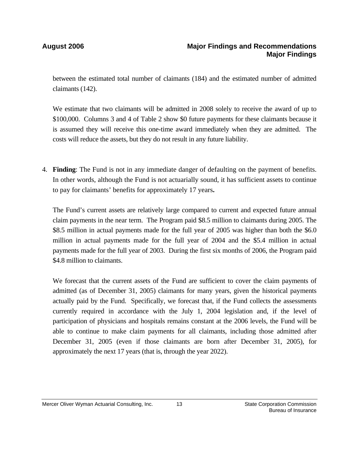between the estimated total number of claimants (184) and the estimated number of admitted claimants (142).

We estimate that two claimants will be admitted in 2008 solely to receive the award of up to \$100,000. Columns 3 and 4 of Table 2 show \$0 future payments for these claimants because it is assumed they will receive this one-time award immediately when they are admitted. The costs will reduce the assets, but they do not result in any future liability.

4. **Finding**: The Fund is not in any immediate danger of defaulting on the payment of benefits. In other words, although the Fund is not actuarially sound, it has sufficient assets to continue to pay for claimants' benefits for approximately 17 years**.**

The Fund's current assets are relatively large compared to current and expected future annual claim payments in the near term. The Program paid \$8.5 million to claimants during 2005. The \$8.5 million in actual payments made for the full year of 2005 was higher than both the \$6.0 million in actual payments made for the full year of 2004 and the \$5.4 million in actual payments made for the full year of 2003. During the first six months of 2006, the Program paid \$4.8 million to claimants.

We forecast that the current assets of the Fund are sufficient to cover the claim payments of admitted (as of December 31, 2005) claimants for many years, given the historical payments actually paid by the Fund. Specifically, we forecast that, if the Fund collects the assessments currently required in accordance with the July 1, 2004 legislation and, if the level of participation of physicians and hospitals remains constant at the 2006 levels, the Fund will be able to continue to make claim payments for all claimants, including those admitted after December 31, 2005 (even if those claimants are born after December 31, 2005), for approximately the next 17 years (that is, through the year 2022).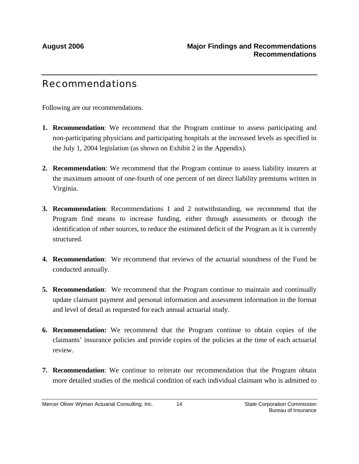# Recommendations

Following are our recommendations.

- **1. Recommendation**: We recommend that the Program continue to assess participating and non-participating physicians and participating hospitals at the increased levels as specified in the July 1, 2004 legislation (as shown on Exhibit 2 in the Appendix).
- **2. Recommendation**: We recommend that the Program continue to assess liability insurers at the maximum amount of one-fourth of one percent of net direct liability premiums written in Virginia.
- **3. Recommendation**: Recommendations 1 and 2 notwithstanding, we recommend that the Program find means to increase funding, either through assessments or through the identification of other sources, to reduce the estimated deficit of the Program as it is currently structured.
- **4. Recommendation**: We recommend that reviews of the actuarial soundness of the Fund be conducted annually.
- **5. Recommendation**: We recommend that the Program continue to maintain and continually update claimant payment and personal information and assessment information in the format and level of detail as requested for each annual actuarial study.
- **6. Recommendation:** We recommend that the Program continue to obtain copies of the claimants' insurance policies and provide copies of the policies at the time of each actuarial review.
- **7. Recommendation**: We continue to reiterate our recommendation that the Program obtain more detailed studies of the medical condition of each individual claimant who is admitted to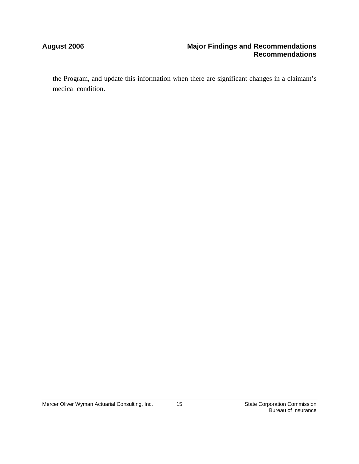### **August 2006 Major Findings and Recommendations Recommendations**

the Program, and update this information when there are significant changes in a claimant's medical condition.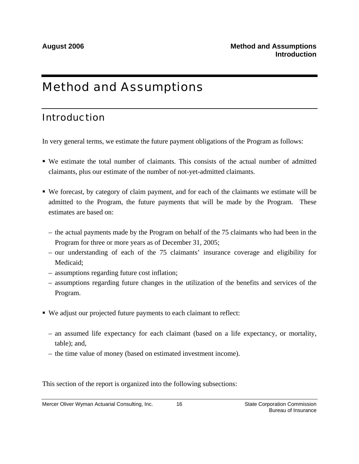# Method and Assumptions

# Introduction

In very general terms, we estimate the future payment obligations of the Program as follows:

- We estimate the total number of claimants. This consists of the actual number of admitted claimants, plus our estimate of the number of not-yet-admitted claimants.
- We forecast, by category of claim payment, and for each of the claimants we estimate will be admitted to the Program, the future payments that will be made by the Program. These estimates are based on:
	- the actual payments made by the Program on behalf of the 75 claimants who had been in the Program for three or more years as of December 31, 2005;
	- our understanding of each of the 75 claimants' insurance coverage and eligibility for Medicaid;
	- assumptions regarding future cost inflation;
	- assumptions regarding future changes in the utilization of the benefits and services of the Program.
- We adjust our projected future payments to each claimant to reflect:
	- an assumed life expectancy for each claimant (based on a life expectancy, or mortality, table); and,
	- the time value of money (based on estimated investment income).

This section of the report is organized into the following subsections: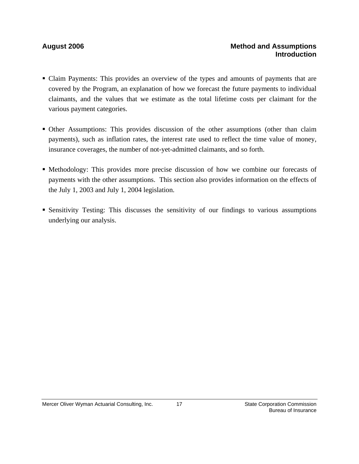### August 2006 **Method and Assumptions Method and Assumptions Introduction**

- Claim Payments: This provides an overview of the types and amounts of payments that are covered by the Program, an explanation of how we forecast the future payments to individual claimants, and the values that we estimate as the total lifetime costs per claimant for the various payment categories.
- Other Assumptions: This provides discussion of the other assumptions (other than claim payments), such as inflation rates, the interest rate used to reflect the time value of money, insurance coverages, the number of not-yet-admitted claimants, and so forth.
- Methodology: This provides more precise discussion of how we combine our forecasts of payments with the other assumptions. This section also provides information on the effects of the July 1, 2003 and July 1, 2004 legislation.
- Sensitivity Testing: This discusses the sensitivity of our findings to various assumptions underlying our analysis.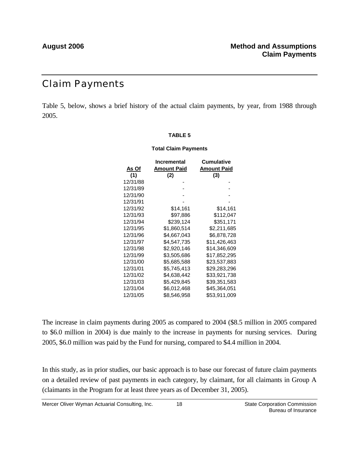# Claim Payments

Table 5, below, shows a brief history of the actual claim payments, by year, from 1988 through 2005.

### **TABLE 5**

### **Total Claim Payments**

|          | Incremental        | <b>Cumulative</b>  |
|----------|--------------------|--------------------|
| As Of    | <b>Amount Paid</b> | <b>Amount Paid</b> |
| (1)      | (2)                | (3)                |
| 12/31/88 |                    |                    |
| 12/31/89 |                    |                    |
| 12/31/90 |                    |                    |
| 12/31/91 |                    |                    |
| 12/31/92 | \$14,161           | \$14,161           |
| 12/31/93 | \$97,886           | \$112,047          |
| 12/31/94 | \$239.124          | \$351,171          |
| 12/31/95 | \$1,860,514        | \$2,211,685        |
| 12/31/96 | \$4,667,043        | \$6.878.728        |
| 12/31/97 | \$4,547,735        | \$11,426,463       |
| 12/31/98 | \$2,920,146        | \$14,346,609       |
| 12/31/99 | \$3,505,686        | \$17,852,295       |
| 12/31/00 | \$5,685,588        | \$23,537,883       |
| 12/31/01 | \$5,745,413        | \$29,283,296       |
| 12/31/02 | \$4,638,442        | \$33,921,738       |
| 12/31/03 | \$5,429,845        | \$39,351,583       |
| 12/31/04 | \$6,012,468        | \$45,364,051       |
| 12/31/05 | \$8,546,958        | \$53,911,009       |

The increase in claim payments during 2005 as compared to 2004 (\$8.5 million in 2005 compared to \$6.0 million in 2004) is due mainly to the increase in payments for nursing services. During 2005, \$6.0 million was paid by the Fund for nursing, compared to \$4.4 million in 2004.

In this study, as in prior studies, our basic approach is to base our forecast of future claim payments on a detailed review of past payments in each category, by claimant, for all claimants in Group A (claimants in the Program for at least three years as of December 31, 2005).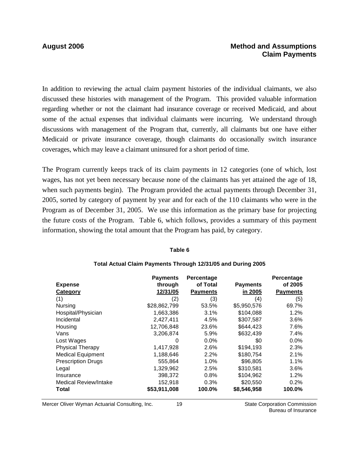### **August 2006 Method and Assumptions Claim Payments**

In addition to reviewing the actual claim payment histories of the individual claimants, we also discussed these histories with management of the Program. This provided valuable information regarding whether or not the claimant had insurance coverage or received Medicaid, and about some of the actual expenses that individual claimants were incurring. We understand through discussions with management of the Program that, currently, all claimants but one have either Medicaid or private insurance coverage, though claimants do occasionally switch insurance coverages, which may leave a claimant uninsured for a short period of time.

The Program currently keeps track of its claim payments in 12 categories (one of which, lost wages, has not yet been necessary because none of the claimants has yet attained the age of 18, when such payments begin). The Program provided the actual payments through December 31, 2005, sorted by category of payment by year and for each of the 110 claimants who were in the Program as of December 31, 2005. We use this information as the primary base for projecting the future costs of the Program. Table 6, which follows, provides a summary of this payment information, showing the total amount that the Program has paid, by category.

### **Table 6**

|                              | <b>Payments</b> | Percentage      |                 | Percentage      |
|------------------------------|-----------------|-----------------|-----------------|-----------------|
| <b>Expense</b>               | through         | of Total        | <b>Payments</b> | of 2005         |
| Category                     | 12/31/05        | <b>Payments</b> | in 2005         | <b>Payments</b> |
| (1)                          | (2)             | (3)             | (4)             | (5)             |
| Nursing                      | \$28,862,799    | 53.5%           | \$5,950,576     | 69.7%           |
| Hospital/Physician           | 1,663,386       | 3.1%            | \$104,088       | 1.2%            |
| Incidental                   | 2,427,411       | 4.5%            | \$307,587       | 3.6%            |
| Housing                      | 12,706,848      | 23.6%           | \$644.423       | 7.6%            |
| Vans                         | 3,206,874       | 5.9%            | \$632,439       | 7.4%            |
| Lost Wages                   | 0               | 0.0%            | \$0             | 0.0%            |
| <b>Physical Therapy</b>      | 1,417,928       | 2.6%            | \$194,193       | 2.3%            |
| <b>Medical Equipment</b>     | 1,188,646       | 2.2%            | \$180,754       | 2.1%            |
| <b>Prescription Drugs</b>    | 555,864         | 1.0%            | \$96,805        | 1.1%            |
| Legal                        | 1,329,962       | 2.5%            | \$310,581       | 3.6%            |
| Insurance                    | 398,372         | 0.8%            | \$104,962       | 1.2%            |
| <b>Medical Review/Intake</b> | 152,918         | 0.3%            | \$20,550        | 0.2%            |
| Total                        | \$53,911,008    | 100.0%          | \$8,546,958     | 100.0%          |

### **Total Actual Claim Payments Through 12/31/05 and During 2005**

Mercer Oliver Wyman Actuarial Consulting, Inc.  $\qquad 19$  State Corporation Commission

19

Bureau of Insurance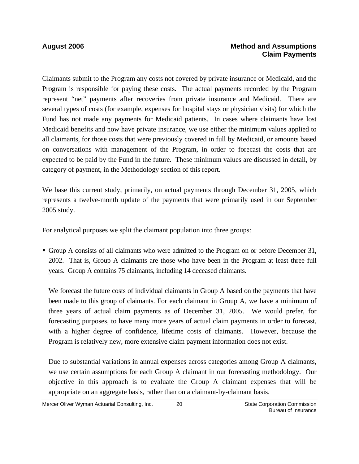### **August 2006 Method and Assumptions Claim Payments**

Claimants submit to the Program any costs not covered by private insurance or Medicaid, and the Program is responsible for paying these costs. The actual payments recorded by the Program represent "net" payments after recoveries from private insurance and Medicaid. There are several types of costs (for example, expenses for hospital stays or physician visits) for which the Fund has not made any payments for Medicaid patients. In cases where claimants have lost Medicaid benefits and now have private insurance, we use either the minimum values applied to all claimants, for those costs that were previously covered in full by Medicaid, or amounts based on conversations with management of the Program, in order to forecast the costs that are expected to be paid by the Fund in the future. These minimum values are discussed in detail, by category of payment, in the Methodology section of this report.

We base this current study, primarily, on actual payments through December 31, 2005, which represents a twelve-month update of the payments that were primarily used in our September 2005 study.

For analytical purposes we split the claimant population into three groups:

 Group A consists of all claimants who were admitted to the Program on or before December 31, 2002. That is, Group A claimants are those who have been in the Program at least three full years. Group A contains 75 claimants, including 14 deceased claimants.

We forecast the future costs of individual claimants in Group A based on the payments that have been made to this group of claimants. For each claimant in Group A, we have a minimum of three years of actual claim payments as of December 31, 2005. We would prefer, for forecasting purposes, to have many more years of actual claim payments in order to forecast, with a higher degree of confidence, lifetime costs of claimants. However, because the Program is relatively new, more extensive claim payment information does not exist.

Due to substantial variations in annual expenses across categories among Group A claimants, we use certain assumptions for each Group A claimant in our forecasting methodology. Our objective in this approach is to evaluate the Group A claimant expenses that will be appropriate on an aggregate basis, rather than on a claimant-by-claimant basis.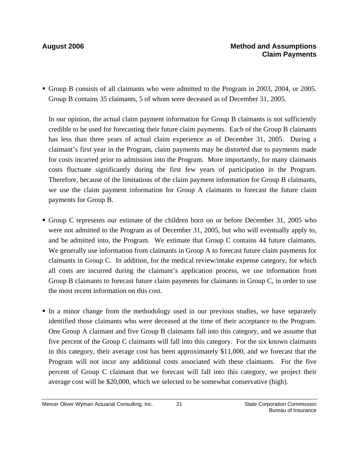Group B consists of all claimants who were admitted to the Program in 2003, 2004, or 2005. Group B contains 35 claimants, 5 of whom were deceased as of December 31, 2005.

In our opinion, the actual claim payment information for Group B claimants is not sufficiently credible to be used for forecasting their future claim payments. Each of the Group B claimants has less than three years of actual claim experience as of December 31, 2005. During a claimant's first year in the Program, claim payments may be distorted due to payments made for costs incurred prior to admission into the Program. More importantly, for many claimants costs fluctuate significantly during the first few years of participation in the Program. Therefore, because of the limitations of the claim payment information for Group B claimants, we use the claim payment information for Group A claimants to forecast the future claim payments for Group B.

- Group C represents our estimate of the children born on or before December 31, 2005 who were not admitted to the Program as of December 31, 2005, but who will eventually apply to, and be admitted into, the Program. We estimate that Group C contains 44 future claimants. We generally use information from claimants in Group A to forecast future claim payments for claimants in Group C. In addition, for the medical review/intake expense category, for which all costs are incurred during the claimant's application process, we use information from Group B claimants to forecast future claim payments for claimants in Group C, in order to use the most recent information on this cost.
- In a minor change from the methodology used in our previous studies, we have separately identified those claimants who were deceased at the time of their acceptance to the Program. One Group A claimant and five Group B claimants fall into this category, and we assume that five percent of the Group C claimants will fall into this category. For the six known claimants in this category, their average cost has been approximately \$11,000, and we forecast that the Program will not incur any additional costs associated with these claimants. For the five percent of Group C claimant that we forecast will fall into this category, we project their average cost will be \$20,000, which we selected to be somewhat conservative (high).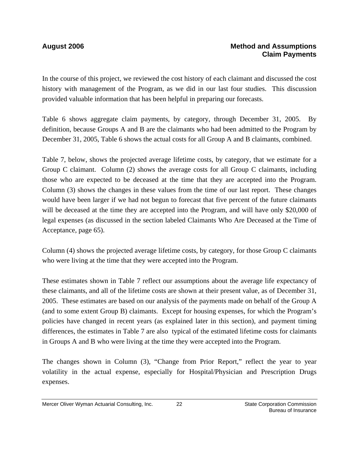In the course of this project, we reviewed the cost history of each claimant and discussed the cost history with management of the Program, as we did in our last four studies. This discussion provided valuable information that has been helpful in preparing our forecasts.

Table 6 shows aggregate claim payments, by category, through December 31, 2005. By definition, because Groups A and B are the claimants who had been admitted to the Program by December 31, 2005, Table 6 shows the actual costs for all Group A and B claimants, combined.

Table 7, below, shows the projected average lifetime costs, by category, that we estimate for a Group C claimant. Column (2) shows the average costs for all Group C claimants, including those who are expected to be deceased at the time that they are accepted into the Program. Column (3) shows the changes in these values from the time of our last report. These changes would have been larger if we had not begun to forecast that five percent of the future claimants will be deceased at the time they are accepted into the Program, and will have only \$20,000 of legal expenses (as discussed in the section labeled Claimants Who Are Deceased at the Time of Acceptance, page 65).

Column (4) shows the projected average lifetime costs, by category, for those Group C claimants who were living at the time that they were accepted into the Program.

These estimates shown in Table 7 reflect our assumptions about the average life expectancy of these claimants, and all of the lifetime costs are shown at their present value, as of December 31, 2005. These estimates are based on our analysis of the payments made on behalf of the Group A (and to some extent Group B) claimants. Except for housing expenses, for which the Program's policies have changed in recent years (as explained later in this section), and payment timing differences, the estimates in Table 7 are also typical of the estimated lifetime costs for claimants in Groups A and B who were living at the time they were accepted into the Program.

The changes shown in Column (3), "Change from Prior Report," reflect the year to year volatility in the actual expense, especially for Hospital/Physician and Prescription Drugs expenses.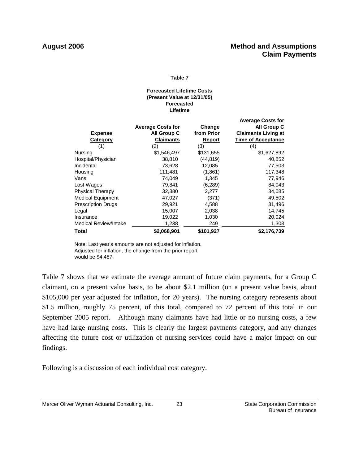### **Table 7**

### **Lifetime Forecasted Lifetime Costs (Present Value at 12/31/05) Forecasted**

|                              |                          |            | <b>Average Costs for</b>   |
|------------------------------|--------------------------|------------|----------------------------|
|                              | <b>Average Costs for</b> | Change     | All Group C                |
| <b>Expense</b>               | All Group C              | from Prior | <b>Claimants Living at</b> |
| Category                     | <b>Claimants</b>         | Report     | <b>Time of Acceptance</b>  |
| (1)                          | (2)                      | (3)        | (4)                        |
| Nursing                      | \$1,546,497              | \$131,655  | \$1,627,892                |
| Hospital/Physician           | 38,810                   | (44, 819)  | 40,852                     |
| Incidental                   | 73,628                   | 12,085     | 77,503                     |
| Housing                      | 111,481                  | (1,861)    | 117,348                    |
| Vans                         | 74,049                   | 1,345      | 77,946                     |
| Lost Wages                   | 79,841                   | (6, 289)   | 84,043                     |
| <b>Physical Therapy</b>      | 32,380                   | 2,277      | 34,085                     |
| <b>Medical Equipment</b>     | 47,027                   | (371)      | 49,502                     |
| <b>Prescription Drugs</b>    | 29,921                   | 4,588      | 31,496                     |
| Legal                        | 15,007                   | 2,038      | 14,745                     |
| Insurance                    | 19,022                   | 1,030      | 20,024                     |
| <b>Medical Review/Intake</b> | 1,238                    | 249        | 1,303                      |
| Total                        | \$2,068,901              | \$101,927  | \$2,176,739                |

Note: Last year's amounts are not adjusted for inflation. Adjusted for inflation, the change from the prior report would be \$4,487.

Table 7 shows that we estimate the average amount of future claim payments, for a Group C claimant, on a present value basis, to be about \$2.1 million (on a present value basis, about \$105,000 per year adjusted for inflation, for 20 years). The nursing category represents about \$1.5 million, roughly 75 percent, of this total, compared to 72 percent of this total in our September 2005 report. Although many claimants have had little or no nursing costs, a few have had large nursing costs. This is clearly the largest payments category, and any changes affecting the future cost or utilization of nursing services could have a major impact on our findings.

Following is a discussion of each individual cost category.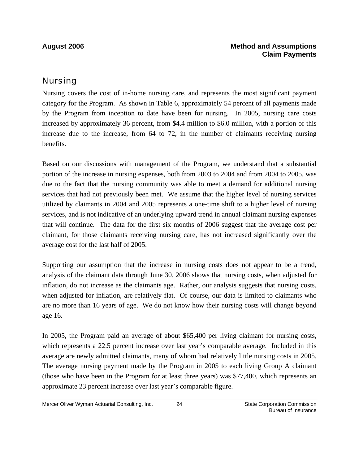### **August 2006 Method and Assumptions Claim Payments**

## Nursing

Nursing covers the cost of in-home nursing care, and represents the most significant payment category for the Program. As shown in Table 6, approximately 54 percent of all payments made by the Program from inception to date have been for nursing. In 2005, nursing care costs increased by approximately 36 percent, from \$4.4 million to \$6.0 million, with a portion of this increase due to the increase, from 64 to 72, in the number of claimants receiving nursing benefits.

Based on our discussions with management of the Program, we understand that a substantial portion of the increase in nursing expenses, both from 2003 to 2004 and from 2004 to 2005, was due to the fact that the nursing community was able to meet a demand for additional nursing services that had not previously been met. We assume that the higher level of nursing services utilized by claimants in 2004 and 2005 represents a one-time shift to a higher level of nursing services, and is not indicative of an underlying upward trend in annual claimant nursing expenses that will continue. The data for the first six months of 2006 suggest that the average cost per claimant, for those claimants receiving nursing care, has not increased significantly over the average cost for the last half of 2005.

Supporting our assumption that the increase in nursing costs does not appear to be a trend, analysis of the claimant data through June 30, 2006 shows that nursing costs, when adjusted for inflation, do not increase as the claimants age. Rather, our analysis suggests that nursing costs, when adjusted for inflation, are relatively flat. Of course, our data is limited to claimants who are no more than 16 years of age. We do not know how their nursing costs will change beyond age 16.

In 2005, the Program paid an average of about \$65,400 per living claimant for nursing costs, which represents a 22.5 percent increase over last year's comparable average. Included in this average are newly admitted claimants, many of whom had relatively little nursing costs in 2005. The average nursing payment made by the Program in 2005 to each living Group A claimant (those who have been in the Program for at least three years) was \$77,400, which represents an approximate 23 percent increase over last year's comparable figure.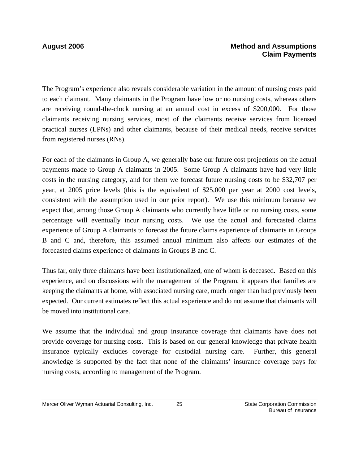The Program's experience also reveals considerable variation in the amount of nursing costs paid to each claimant. Many claimants in the Program have low or no nursing costs, whereas others are receiving round-the-clock nursing at an annual cost in excess of \$200,000. For those claimants receiving nursing services, most of the claimants receive services from licensed practical nurses (LPNs) and other claimants, because of their medical needs, receive services from registered nurses (RNs).

For each of the claimants in Group A, we generally base our future cost projections on the actual payments made to Group A claimants in 2005. Some Group A claimants have had very little costs in the nursing category, and for them we forecast future nursing costs to be \$32,707 per year, at 2005 price levels (this is the equivalent of \$25,000 per year at 2000 cost levels, consistent with the assumption used in our prior report). We use this minimum because we expect that, among those Group A claimants who currently have little or no nursing costs, some percentage will eventually incur nursing costs. We use the actual and forecasted claims experience of Group A claimants to forecast the future claims experience of claimants in Groups B and C and, therefore, this assumed annual minimum also affects our estimates of the forecasted claims experience of claimants in Groups B and C.

Thus far, only three claimants have been institutionalized, one of whom is deceased. Based on this experience, and on discussions with the management of the Program, it appears that families are keeping the claimants at home, with associated nursing care, much longer than had previously been expected. Our current estimates reflect this actual experience and do not assume that claimants will be moved into institutional care.

We assume that the individual and group insurance coverage that claimants have does not provide coverage for nursing costs. This is based on our general knowledge that private health insurance typically excludes coverage for custodial nursing care. Further, this general knowledge is supported by the fact that none of the claimants' insurance coverage pays for nursing costs, according to management of the Program.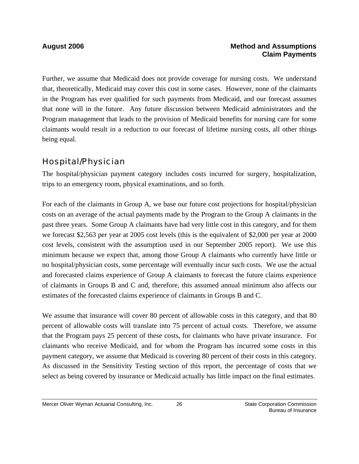Further, we assume that Medicaid does not provide coverage for nursing costs. We understand that, theoretically, Medicaid may cover this cost in some cases. However, none of the claimants in the Program has ever qualified for such payments from Medicaid, and our forecast assumes that none will in the future. Any future discussion between Medicaid administrators and the Program management that leads to the provision of Medicaid benefits for nursing care for some claimants would result in a reduction to our forecast of lifetime nursing costs, all other things being equal.

## Hospital/Physician

The hospital/physician payment category includes costs incurred for surgery, hospitalization, trips to an emergency room, physical examinations, and so forth.

For each of the claimants in Group A, we base our future cost projections for hospital/physician costs on an average of the actual payments made by the Program to the Group A claimants in the past three years. Some Group A claimants have had very little cost in this category, and for them we forecast \$2,563 per year at 2005 cost levels (this is the equivalent of \$2,000 per year at 2000 cost levels, consistent with the assumption used in our September 2005 report). We use this minimum because we expect that, among those Group A claimants who currently have little or no hospital/physician costs, some percentage will eventually incur such costs. We use the actual and forecasted claims experience of Group A claimants to forecast the future claims experience of claimants in Groups B and C and, therefore, this assumed annual minimum also affects our estimates of the forecasted claims experience of claimants in Groups B and C.

We assume that insurance will cover 80 percent of allowable costs in this category, and that 80 percent of allowable costs will translate into 75 percent of actual costs. Therefore, we assume that the Program pays 25 percent of these costs, for claimants who have private insurance. For claimants who receive Medicaid, and for whom the Program has incurred some costs in this payment category, we assume that Medicaid is covering 80 percent of their costs in this category. As discussed in the Sensitivity Testing section of this report, the percentage of costs that we select as being covered by insurance or Medicaid actually has little impact on the final estimates.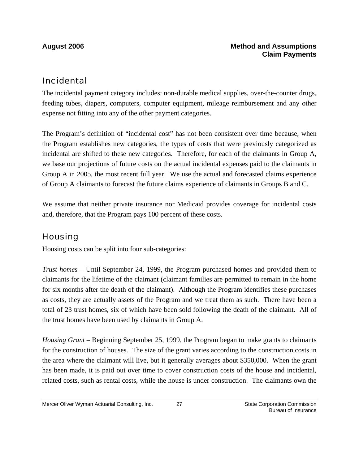## Incidental

The incidental payment category includes: non-durable medical supplies, over-the-counter drugs, feeding tubes, diapers, computers, computer equipment, mileage reimbursement and any other expense not fitting into any of the other payment categories.

The Program's definition of "incidental cost" has not been consistent over time because, when the Program establishes new categories, the types of costs that were previously categorized as incidental are shifted to these new categories. Therefore, for each of the claimants in Group A, we base our projections of future costs on the actual incidental expenses paid to the claimants in Group A in 2005, the most recent full year. We use the actual and forecasted claims experience of Group A claimants to forecast the future claims experience of claimants in Groups B and C.

We assume that neither private insurance nor Medicaid provides coverage for incidental costs and, therefore, that the Program pays 100 percent of these costs.

## **Housing**

Housing costs can be split into four sub-categories:

*Trust homes* – Until September 24, 1999, the Program purchased homes and provided them to claimants for the lifetime of the claimant (claimant families are permitted to remain in the home for six months after the death of the claimant). Although the Program identifies these purchases as costs, they are actually assets of the Program and we treat them as such. There have been a total of 23 trust homes, six of which have been sold following the death of the claimant. All of the trust homes have been used by claimants in Group A.

*Housing Grant* – Beginning September 25, 1999, the Program began to make grants to claimants for the construction of houses. The size of the grant varies according to the construction costs in the area where the claimant will live, but it generally averages about \$350,000. When the grant has been made, it is paid out over time to cover construction costs of the house and incidental, related costs, such as rental costs, while the house is under construction. The claimants own the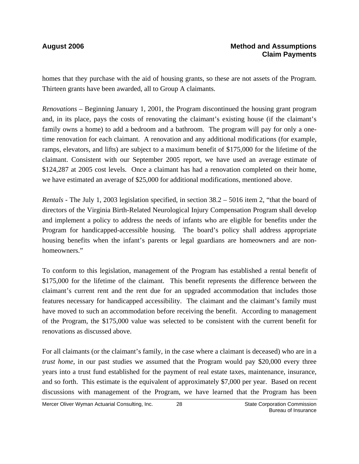homes that they purchase with the aid of housing grants, so these are not assets of the Program. Thirteen grants have been awarded, all to Group A claimants.

*Renovations* – Beginning January 1, 2001, the Program discontinued the housing grant program and, in its place, pays the costs of renovating the claimant's existing house (if the claimant's family owns a home) to add a bedroom and a bathroom. The program will pay for only a onetime renovation for each claimant. A renovation and any additional modifications (for example, ramps, elevators, and lifts) are subject to a maximum benefit of \$175,000 for the lifetime of the claimant. Consistent with our September 2005 report, we have used an average estimate of \$124,287 at 2005 cost levels. Once a claimant has had a renovation completed on their home, we have estimated an average of \$25,000 for additional modifications, mentioned above.

*Rentals -* The July 1, 2003 legislation specified, in section 38.2 – 5016 item 2, "that the board of directors of the Virginia Birth-Related Neurological Injury Compensation Program shall develop and implement a policy to address the needs of infants who are eligible for benefits under the Program for handicapped-accessible housing. The board's policy shall address appropriate housing benefits when the infant's parents or legal guardians are homeowners and are nonhomeowners."

To conform to this legislation, management of the Program has established a rental benefit of \$175,000 for the lifetime of the claimant. This benefit represents the difference between the claimant's current rent and the rent due for an upgraded accommodation that includes those features necessary for handicapped accessibility. The claimant and the claimant's family must have moved to such an accommodation before receiving the benefit. According to management of the Program, the \$175,000 value was selected to be consistent with the current benefit for renovations as discussed above.

For all claimants (or the claimant's family, in the case where a claimant is deceased) who are in a *trust home*, in our past studies we assumed that the Program would pay \$20,000 every three years into a trust fund established for the payment of real estate taxes, maintenance, insurance, and so forth. This estimate is the equivalent of approximately \$7,000 per year. Based on recent discussions with management of the Program, we have learned that the Program has been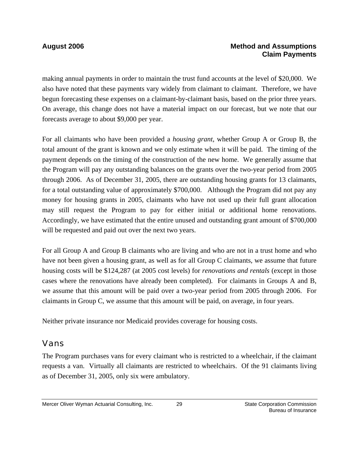### **August 2006 Method and Assumptions Claim Payments**

making annual payments in order to maintain the trust fund accounts at the level of \$20,000. We also have noted that these payments vary widely from claimant to claimant. Therefore, we have begun forecasting these expenses on a claimant-by-claimant basis, based on the prior three years. On average, this change does not have a material impact on our forecast, but we note that our forecasts average to about \$9,000 per year.

For all claimants who have been provided a *housing grant*, whether Group A or Group B, the total amount of the grant is known and we only estimate when it will be paid. The timing of the payment depends on the timing of the construction of the new home. We generally assume that the Program will pay any outstanding balances on the grants over the two-year period from 2005 through 2006. As of December 31, 2005, there are outstanding housing grants for 13 claimants, for a total outstanding value of approximately \$700,000. Although the Program did not pay any money for housing grants in 2005, claimants who have not used up their full grant allocation may still request the Program to pay for either initial or additional home renovations. Accordingly, we have estimated that the entire unused and outstanding grant amount of \$700,000 will be requested and paid out over the next two years.

For all Group A and Group B claimants who are living and who are not in a trust home and who have not been given a housing grant, as well as for all Group C claimants, we assume that future housing costs will be \$124,287 (at 2005 cost levels) for *renovations and rentals* (except in those cases where the renovations have already been completed)*.* For claimants in Groups A and B, we assume that this amount will be paid over a two-year period from 2005 through 2006. For claimants in Group C, we assume that this amount will be paid, on average, in four years.

Neither private insurance nor Medicaid provides coverage for housing costs.

## Vans

The Program purchases vans for every claimant who is restricted to a wheelchair, if the claimant requests a van. Virtually all claimants are restricted to wheelchairs. Of the 91 claimants living as of December 31, 2005, only six were ambulatory.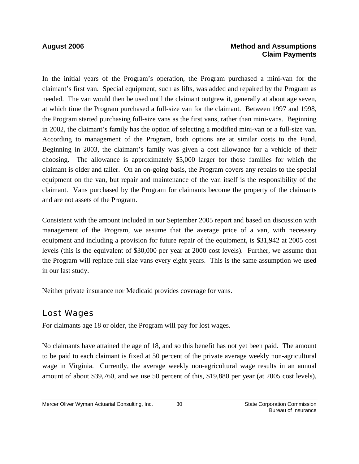### **August 2006 Method and Assumptions Claim Payments**

In the initial years of the Program's operation, the Program purchased a mini-van for the claimant's first van. Special equipment, such as lifts, was added and repaired by the Program as needed. The van would then be used until the claimant outgrew it, generally at about age seven, at which time the Program purchased a full-size van for the claimant. Between 1997 and 1998, the Program started purchasing full-size vans as the first vans, rather than mini-vans. Beginning in 2002, the claimant's family has the option of selecting a modified mini-van or a full-size van. According to management of the Program, both options are at similar costs to the Fund. Beginning in 2003, the claimant's family was given a cost allowance for a vehicle of their choosing. The allowance is approximately \$5,000 larger for those families for which the claimant is older and taller. On an on-going basis, the Program covers any repairs to the special equipment on the van, but repair and maintenance of the van itself is the responsibility of the claimant. Vans purchased by the Program for claimants become the property of the claimants and are not assets of the Program.

Consistent with the amount included in our September 2005 report and based on discussion with management of the Program, we assume that the average price of a van, with necessary equipment and including a provision for future repair of the equipment, is \$31,942 at 2005 cost levels (this is the equivalent of \$30,000 per year at 2000 cost levels). Further, we assume that the Program will replace full size vans every eight years. This is the same assumption we used in our last study.

Neither private insurance nor Medicaid provides coverage for vans.

## Lost Wages

For claimants age 18 or older, the Program will pay for lost wages.

No claimants have attained the age of 18, and so this benefit has not yet been paid. The amount to be paid to each claimant is fixed at 50 percent of the private average weekly non-agricultural wage in Virginia. Currently, the average weekly non-agricultural wage results in an annual amount of about \$39,760, and we use 50 percent of this, \$19,880 per year (at 2005 cost levels),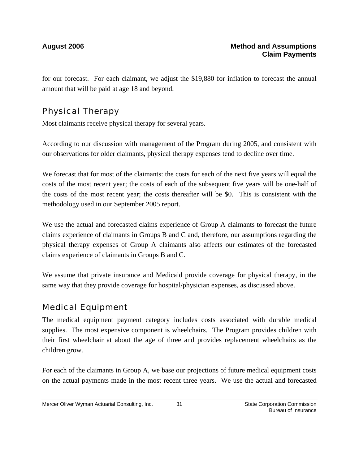for our forecast. For each claimant, we adjust the \$19,880 for inflation to forecast the annual amount that will be paid at age 18 and beyond.

## Physical Therapy

Most claimants receive physical therapy for several years.

According to our discussion with management of the Program during 2005, and consistent with our observations for older claimants, physical therapy expenses tend to decline over time.

We forecast that for most of the claimants: the costs for each of the next five years will equal the costs of the most recent year; the costs of each of the subsequent five years will be one-half of the costs of the most recent year; the costs thereafter will be \$0. This is consistent with the methodology used in our September 2005 report.

We use the actual and forecasted claims experience of Group A claimants to forecast the future claims experience of claimants in Groups B and C and, therefore, our assumptions regarding the physical therapy expenses of Group A claimants also affects our estimates of the forecasted claims experience of claimants in Groups B and C.

We assume that private insurance and Medicaid provide coverage for physical therapy, in the same way that they provide coverage for hospital/physician expenses, as discussed above.

## Medical Equipment

The medical equipment payment category includes costs associated with durable medical supplies. The most expensive component is wheelchairs. The Program provides children with their first wheelchair at about the age of three and provides replacement wheelchairs as the children grow.

For each of the claimants in Group A, we base our projections of future medical equipment costs on the actual payments made in the most recent three years. We use the actual and forecasted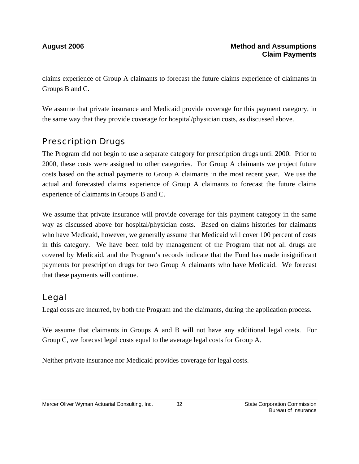claims experience of Group A claimants to forecast the future claims experience of claimants in Groups B and C.

We assume that private insurance and Medicaid provide coverage for this payment category, in the same way that they provide coverage for hospital/physician costs, as discussed above.

## Prescription Drugs

The Program did not begin to use a separate category for prescription drugs until 2000. Prior to 2000, these costs were assigned to other categories. For Group A claimants we project future costs based on the actual payments to Group A claimants in the most recent year. We use the actual and forecasted claims experience of Group A claimants to forecast the future claims experience of claimants in Groups B and C.

We assume that private insurance will provide coverage for this payment category in the same way as discussed above for hospital/physician costs. Based on claims histories for claimants who have Medicaid, however, we generally assume that Medicaid will cover 100 percent of costs in this category. We have been told by management of the Program that not all drugs are covered by Medicaid, and the Program's records indicate that the Fund has made insignificant payments for prescription drugs for two Group A claimants who have Medicaid. We forecast that these payments will continue.

## Legal

Legal costs are incurred, by both the Program and the claimants, during the application process.

We assume that claimants in Groups A and B will not have any additional legal costs. For Group C, we forecast legal costs equal to the average legal costs for Group A.

Neither private insurance nor Medicaid provides coverage for legal costs.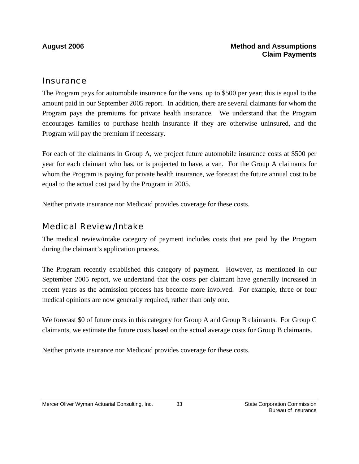### **Insurance**

The Program pays for automobile insurance for the vans, up to \$500 per year; this is equal to the amount paid in our September 2005 report. In addition, there are several claimants for whom the Program pays the premiums for private health insurance. We understand that the Program encourages families to purchase health insurance if they are otherwise uninsured, and the Program will pay the premium if necessary.

For each of the claimants in Group A, we project future automobile insurance costs at \$500 per year for each claimant who has, or is projected to have, a van. For the Group A claimants for whom the Program is paying for private health insurance, we forecast the future annual cost to be equal to the actual cost paid by the Program in 2005.

Neither private insurance nor Medicaid provides coverage for these costs.

### Medical Review/Intake

The medical review/intake category of payment includes costs that are paid by the Program during the claimant's application process.

The Program recently established this category of payment. However, as mentioned in our September 2005 report, we understand that the costs per claimant have generally increased in recent years as the admission process has become more involved. For example, three or four medical opinions are now generally required, rather than only one.

We forecast \$0 of future costs in this category for Group A and Group B claimants. For Group C claimants, we estimate the future costs based on the actual average costs for Group B claimants.

Neither private insurance nor Medicaid provides coverage for these costs.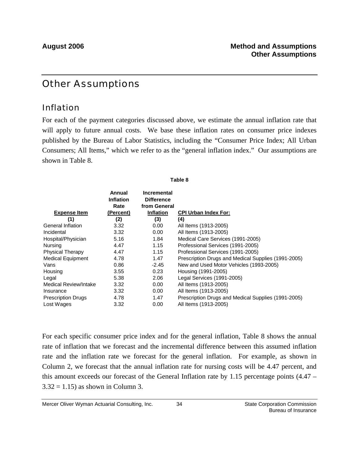## Other Assumptions

### Inflation

For each of the payment categories discussed above, we estimate the annual inflation rate that will apply to future annual costs. We base these inflation rates on consumer price indexes published by the Bureau of Labor Statistics, including the "Consumer Price Index; All Urban Consumers; All Items," which we refer to as the "general inflation index." Our assumptions are shown in Table 8.

**Table 8**

|                           | Annual<br><b>Inflation</b><br>Rate | <b>Incremental</b><br><b>Difference</b><br>from General |                                                     |
|---------------------------|------------------------------------|---------------------------------------------------------|-----------------------------------------------------|
| <b>Expense Item</b>       | (Percent)                          | <b>Inflation</b>                                        | <b>CPI Urban Index For:</b>                         |
| (1)                       | (2)                                | (3)                                                     | (4)                                                 |
| General Inflation         | 3.32                               | 0.00                                                    | All Items (1913-2005)                               |
| Incidental                | 3.32                               | 0.00                                                    | All Items (1913-2005)                               |
| Hospital/Physician        | 5.16                               | 1.84                                                    | Medical Care Services (1991-2005)                   |
| Nursing                   | 4.47                               | 1.15                                                    | Professional Services (1991-2005)                   |
| <b>Physical Therapy</b>   | 4.47                               | 1.15                                                    | Professional Services (1991-2005)                   |
| <b>Medical Equipment</b>  | 4.78                               | 1.47                                                    | Prescription Drugs and Medical Supplies (1991-2005) |
| Vans                      | 0.86                               | -2.45                                                   | New and Used Motor Vehicles (1993-2005)             |
| Housing                   | 3.55                               | 0.23                                                    | Housing (1991-2005)                                 |
| Legal                     | 5.38                               | 2.06                                                    | Legal Services (1991-2005)                          |
| Medical Review/Intake     | 3.32                               | 0.00                                                    | All Items (1913-2005)                               |
| Insurance                 | 3.32                               | 0.00                                                    | All Items (1913-2005)                               |
| <b>Prescription Drugs</b> | 4.78                               | 1.47                                                    | Prescription Drugs and Medical Supplies (1991-2005) |
| Lost Wages                | 3.32                               | 0.00                                                    | All Items (1913-2005)                               |

For each specific consumer price index and for the general inflation, Table 8 shows the annual rate of inflation that we forecast and the incremental difference between this assumed inflation rate and the inflation rate we forecast for the general inflation. For example, as shown in Column 2, we forecast that the annual inflation rate for nursing costs will be 4.47 percent, and this amount exceeds our forecast of the General Inflation rate by 1.15 percentage points (4.47 –  $3.32 = 1.15$ ) as shown in Column 3.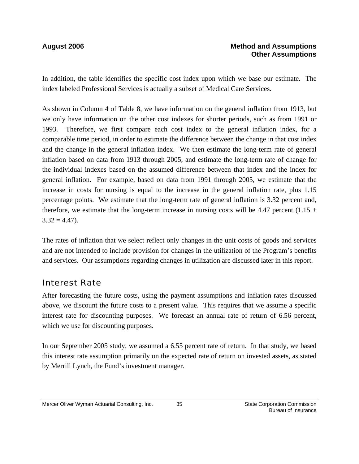In addition, the table identifies the specific cost index upon which we base our estimate. The index labeled Professional Services is actually a subset of Medical Care Services.

As shown in Column 4 of Table 8, we have information on the general inflation from 1913, but we only have information on the other cost indexes for shorter periods, such as from 1991 or 1993. Therefore, we first compare each cost index to the general inflation index, for a comparable time period, in order to estimate the difference between the change in that cost index and the change in the general inflation index. We then estimate the long-term rate of general inflation based on data from 1913 through 2005, and estimate the long-term rate of change for the individual indexes based on the assumed difference between that index and the index for general inflation. For example, based on data from 1991 through 2005, we estimate that the increase in costs for nursing is equal to the increase in the general inflation rate, plus 1.15 percentage points. We estimate that the long-term rate of general inflation is 3.32 percent and, therefore, we estimate that the long-term increase in nursing costs will be 4.47 percent  $(1.15 +$  $3.32 = 4.47$ .

The rates of inflation that we select reflect only changes in the unit costs of goods and services and are not intended to include provision for changes in the utilization of the Program's benefits and services. Our assumptions regarding changes in utilization are discussed later in this report.

### Interest Rate

After forecasting the future costs, using the payment assumptions and inflation rates discussed above, we discount the future costs to a present value. This requires that we assume a specific interest rate for discounting purposes. We forecast an annual rate of return of 6.56 percent, which we use for discounting purposes.

In our September 2005 study, we assumed a 6.55 percent rate of return. In that study, we based this interest rate assumption primarily on the expected rate of return on invested assets, as stated by Merrill Lynch, the Fund's investment manager.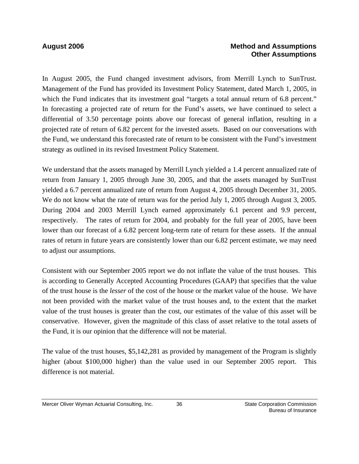### **August 2006 Method and Assumptions Other Assumptions**

In August 2005, the Fund changed investment advisors, from Merrill Lynch to SunTrust. Management of the Fund has provided its Investment Policy Statement, dated March 1, 2005, in which the Fund indicates that its investment goal "targets a total annual return of 6.8 percent." In forecasting a projected rate of return for the Fund's assets, we have continued to select a differential of 3.50 percentage points above our forecast of general inflation, resulting in a projected rate of return of 6.82 percent for the invested assets. Based on our conversations with the Fund, we understand this forecasted rate of return to be consistent with the Fund's investment strategy as outlined in its revised Investment Policy Statement.

We understand that the assets managed by Merrill Lynch yielded a 1.4 percent annualized rate of return from January 1, 2005 through June 30, 2005, and that the assets managed by SunTrust yielded a 6.7 percent annualized rate of return from August 4, 2005 through December 31, 2005. We do not know what the rate of return was for the period July 1, 2005 through August 3, 2005. During 2004 and 2003 Merrill Lynch earned approximately 6.1 percent and 9.9 percent, respectively. The rates of return for 2004, and probably for the full year of 2005, have been lower than our forecast of a 6.82 percent long-term rate of return for these assets. If the annual rates of return in future years are consistently lower than our 6.82 percent estimate, we may need to adjust our assumptions.

Consistent with our September 2005 report we do not inflate the value of the trust houses. This is according to Generally Accepted Accounting Procedures (GAAP) that specifies that the value of the trust house is the *lesser* of the cost of the house or the market value of the house. We have not been provided with the market value of the trust houses and, to the extent that the market value of the trust houses is greater than the cost, our estimates of the value of this asset will be conservative. However, given the magnitude of this class of asset relative to the total assets of the Fund, it is our opinion that the difference will not be material.

The value of the trust houses, \$5,142,281 as provided by management of the Program is slightly higher (about \$100,000 higher) than the value used in our September 2005 report. This difference is not material.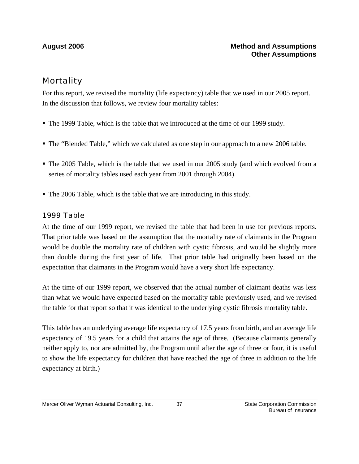## **Mortality**

For this report, we revised the mortality (life expectancy) table that we used in our 2005 report. In the discussion that follows, we review four mortality tables:

- The 1999 Table, which is the table that we introduced at the time of our 1999 study.
- The "Blended Table," which we calculated as one step in our approach to a new 2006 table.
- The 2005 Table, which is the table that we used in our 2005 study (and which evolved from a series of mortality tables used each year from 2001 through 2004).
- The 2006 Table, which is the table that we are introducing in this study.

### *1999 Table*

At the time of our 1999 report, we revised the table that had been in use for previous reports. That prior table was based on the assumption that the mortality rate of claimants in the Program would be double the mortality rate of children with cystic fibrosis, and would be slightly more than double during the first year of life. That prior table had originally been based on the expectation that claimants in the Program would have a very short life expectancy.

At the time of our 1999 report, we observed that the actual number of claimant deaths was less than what we would have expected based on the mortality table previously used, and we revised the table for that report so that it was identical to the underlying cystic fibrosis mortality table.

This table has an underlying average life expectancy of 17.5 years from birth, and an average life expectancy of 19.5 years for a child that attains the age of three. (Because claimants generally neither apply to, nor are admitted by, the Program until after the age of three or four, it is useful to show the life expectancy for children that have reached the age of three in addition to the life expectancy at birth.)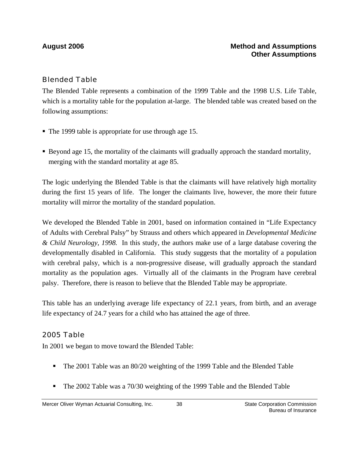### *Blended Table*

The Blended Table represents a combination of the 1999 Table and the 1998 U.S. Life Table, which is a mortality table for the population at-large. The blended table was created based on the following assumptions:

- The 1999 table is appropriate for use through age 15.
- Beyond age 15, the mortality of the claimants will gradually approach the standard mortality, merging with the standard mortality at age 85.

The logic underlying the Blended Table is that the claimants will have relatively high mortality during the first 15 years of life. The longer the claimants live, however, the more their future mortality will mirror the mortality of the standard population.

We developed the Blended Table in 2001, based on information contained in "Life Expectancy of Adults with Cerebral Palsy" by Strauss and others which appeared in *Developmental Medicine & Child Neurology, 1998.* In this study, the authors make use of a large database covering the developmentally disabled in California. This study suggests that the mortality of a population with cerebral palsy, which is a non-progressive disease, will gradually approach the standard mortality as the population ages. Virtually all of the claimants in the Program have cerebral palsy. Therefore, there is reason to believe that the Blended Table may be appropriate.

This table has an underlying average life expectancy of 22.1 years, from birth, and an average life expectancy of 24.7 years for a child who has attained the age of three.

### *2005 Table*

In 2001 we began to move toward the Blended Table:

- The 2001 Table was an 80/20 weighting of the 1999 Table and the Blended Table
- The 2002 Table was a 70/30 weighting of the 1999 Table and the Blended Table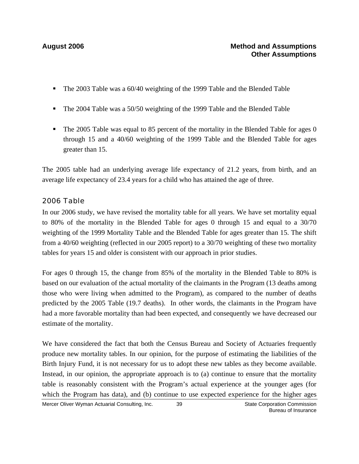- The 2003 Table was a 60/40 weighting of the 1999 Table and the Blended Table
- The 2004 Table was a 50/50 weighting of the 1999 Table and the Blended Table
- $\blacksquare$  The 2005 Table was equal to 85 percent of the mortality in the Blended Table for ages 0 through 15 and a 40/60 weighting of the 1999 Table and the Blended Table for ages greater than 15.

The 2005 table had an underlying average life expectancy of 21.2 years, from birth, and an average life expectancy of 23.4 years for a child who has attained the age of three.

### *2006 Table*

In our 2006 study, we have revised the mortality table for all years. We have set mortality equal to 80% of the mortality in the Blended Table for ages 0 through 15 and equal to a 30/70 weighting of the 1999 Mortality Table and the Blended Table for ages greater than 15. The shift from a 40/60 weighting (reflected in our 2005 report) to a 30/70 weighting of these two mortality tables for years 15 and older is consistent with our approach in prior studies.

For ages 0 through 15, the change from 85% of the mortality in the Blended Table to 80% is based on our evaluation of the actual mortality of the claimants in the Program (13 deaths among those who were living when admitted to the Program), as compared to the number of deaths predicted by the 2005 Table (19.7 deaths). In other words, the claimants in the Program have had a more favorable mortality than had been expected, and consequently we have decreased our estimate of the mortality.

We have considered the fact that both the Census Bureau and Society of Actuaries frequently produce new mortality tables. In our opinion, for the purpose of estimating the liabilities of the Birth Injury Fund, it is not necessary for us to adopt these new tables as they become available. Instead, in our opinion, the appropriate approach is to (a) continue to ensure that the mortality table is reasonably consistent with the Program's actual experience at the younger ages (for which the Program has data), and (b) continue to use expected experience for the higher ages

Mercer Oliver Wyman Actuarial Consulting, Inc.  $\qquad 39$  State Corporation Commission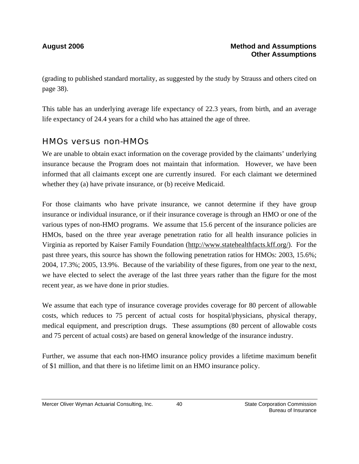(grading to published standard mortality, as suggested by the study by Strauss and others cited on page 38).

This table has an underlying average life expectancy of 22.3 years, from birth, and an average life expectancy of 24.4 years for a child who has attained the age of three.

### HMOs versus non-HMOs

We are unable to obtain exact information on the coverage provided by the claimants' underlying insurance because the Program does not maintain that information. However, we have been informed that all claimants except one are currently insured. For each claimant we determined whether they (a) have private insurance, or (b) receive Medicaid.

For those claimants who have private insurance, we cannot determine if they have group insurance or individual insurance, or if their insurance coverage is through an HMO or one of the various types of non-HMO programs. We assume that 15.6 percent of the insurance policies are HMOs, based on the three year average penetration ratio for all health insurance policies in Virginia as reported by Kaiser Family Foundation (http://www.statehealthfacts.kff.org/). For the past three years, this source has shown the following penetration ratios for HMOs: 2003, 15.6%; 2004, 17.3%; 2005, 13.9%. Because of the variability of these figures, from one year to the next, we have elected to select the average of the last three years rather than the figure for the most recent year, as we have done in prior studies.

We assume that each type of insurance coverage provides coverage for 80 percent of allowable costs, which reduces to 75 percent of actual costs for hospital/physicians, physical therapy, medical equipment, and prescription drugs. These assumptions (80 percent of allowable costs and 75 percent of actual costs) are based on general knowledge of the insurance industry.

Further, we assume that each non-HMO insurance policy provides a lifetime maximum benefit of \$1 million, and that there is no lifetime limit on an HMO insurance policy.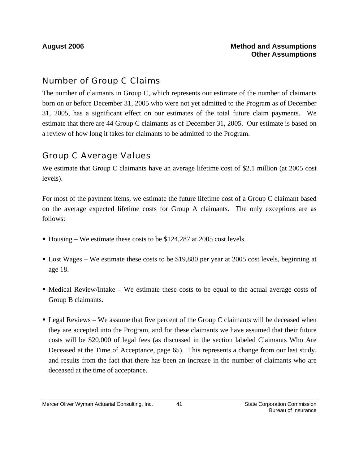## Number of Group C Claims

The number of claimants in Group C, which represents our estimate of the number of claimants born on or before December 31, 2005 who were not yet admitted to the Program as of December 31, 2005, has a significant effect on our estimates of the total future claim payments. We estimate that there are 44 Group C claimants as of December 31, 2005. Our estimate is based on a review of how long it takes for claimants to be admitted to the Program.

### Group C Average Values

We estimate that Group C claimants have an average lifetime cost of \$2.1 million (at 2005 cost levels).

For most of the payment items, we estimate the future lifetime cost of a Group C claimant based on the average expected lifetime costs for Group A claimants. The only exceptions are as follows:

- Housing We estimate these costs to be \$124,287 at 2005 cost levels.
- Lost Wages We estimate these costs to be \$19,880 per year at 2005 cost levels, beginning at age 18.
- $\blacksquare$  Medical Review/Intake We estimate these costs to be equal to the actual average costs of Group B claimants.
- Legal Reviews We assume that five percent of the Group C claimants will be deceased when they are accepted into the Program, and for these claimants we have assumed that their future costs will be \$20,000 of legal fees (as discussed in the section labeled Claimants Who Are Deceased at the Time of Acceptance, page 65). This represents a change from our last study, and results from the fact that there has been an increase in the number of claimants who are deceased at the time of acceptance.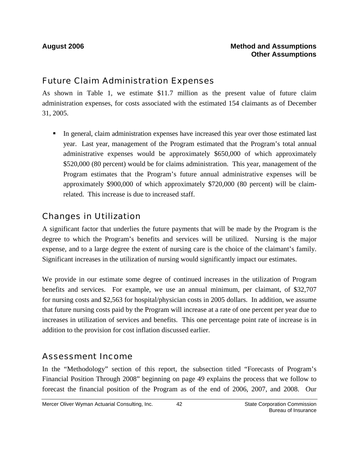### Future Claim Administration Expenses

As shown in Table 1, we estimate \$11.7 million as the present value of future claim administration expenses, for costs associated with the estimated 154 claimants as of December 31, 2005.

In general, claim administration expenses have increased this year over those estimated last year. Last year, management of the Program estimated that the Program's total annual administrative expenses would be approximately \$650,000 of which approximately \$520,000 (80 percent) would be for claims administration. This year, management of the Program estimates that the Program's future annual administrative expenses will be approximately \$900,000 of which approximately \$720,000 (80 percent) will be claimrelated. This increase is due to increased staff.

## Changes in Utilization

A significant factor that underlies the future payments that will be made by the Program is the degree to which the Program's benefits and services will be utilized. Nursing is the major expense, and to a large degree the extent of nursing care is the choice of the claimant's family. Significant increases in the utilization of nursing would significantly impact our estimates.

We provide in our estimate some degree of continued increases in the utilization of Program benefits and services. For example, we use an annual minimum, per claimant, of \$32,707 for nursing costs and \$2,563 for hospital/physician costs in 2005 dollars. In addition, we assume that future nursing costs paid by the Program will increase at a rate of one percent per year due to increases in utilization of services and benefits. This one percentage point rate of increase is in addition to the provision for cost inflation discussed earlier.

## Assessment Income

In the "Methodology" section of this report, the subsection titled "Forecasts of Program's Financial Position Through 2008" beginning on page 49 explains the process that we follow to forecast the financial position of the Program as of the end of 2006, 2007, and 2008. Our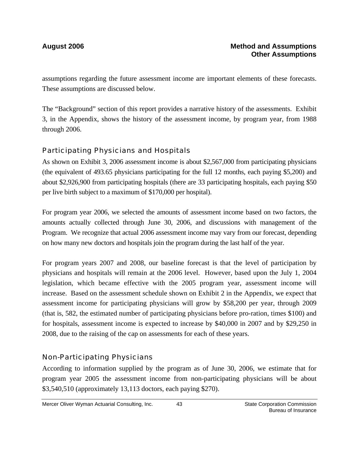assumptions regarding the future assessment income are important elements of these forecasts. These assumptions are discussed below.

The "Background" section of this report provides a narrative history of the assessments. Exhibit 3, in the Appendix, shows the history of the assessment income, by program year, from 1988 through 2006.

### *Participating Physicians and Hospitals*

As shown on Exhibit 3, 2006 assessment income is about \$2,567,000 from participating physicians (the equivalent of 493.65 physicians participating for the full 12 months, each paying \$5,200) and about \$2,926,900 from participating hospitals (there are 33 participating hospitals, each paying \$50 per live birth subject to a maximum of \$170,000 per hospital).

For program year 2006, we selected the amounts of assessment income based on two factors, the amounts actually collected through June 30, 2006, and discussions with management of the Program. We recognize that actual 2006 assessment income may vary from our forecast, depending on how many new doctors and hospitals join the program during the last half of the year.

For program years 2007 and 2008, our baseline forecast is that the level of participation by physicians and hospitals will remain at the 2006 level. However, based upon the July 1, 2004 legislation, which became effective with the 2005 program year, assessment income will increase. Based on the assessment schedule shown on Exhibit 2 in the Appendix, we expect that assessment income for participating physicians will grow by \$58,200 per year, through 2009 (that is, 582, the estimated number of participating physicians before pro-ration, times \$100) and for hospitals, assessment income is expected to increase by \$40,000 in 2007 and by \$29,250 in 2008, due to the raising of the cap on assessments for each of these years.

### *Non-Participating Physicians*

According to information supplied by the program as of June 30, 2006, we estimate that for program year 2005 the assessment income from non-participating physicians will be about \$3,540,510 (approximately 13,113 doctors, each paying \$270).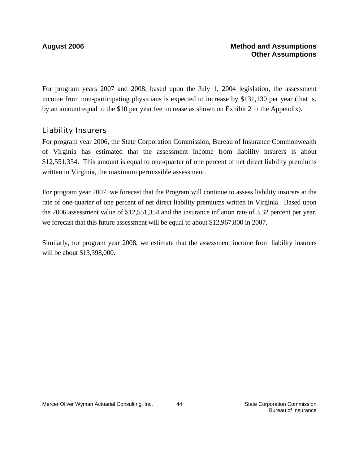For program years 2007 and 2008, based upon the July 1, 2004 legislation, the assessment income from non-participating physicians is expected to increase by \$131,130 per year (that is, by an amount equal to the \$10 per year fee increase as shown on Exhibit 2 in the Appendix).

### *Liability Insurers*

For program year 2006, the State Corporation Commission, Bureau of Insurance Commonwealth of Virginia has estimated that the assessment income from liability insurers is about \$12,551,354. This amount is equal to one-quarter of one percent of net direct liability premiums written in Virginia, the maximum permissible assessment.

For program year 2007, we forecast that the Program will continue to assess liability insurers at the rate of one-quarter of one percent of net direct liability premiums written in Virginia. Based upon the 2006 assessment value of \$12,551,354 and the insurance inflation rate of 3.32 percent per year, we forecast that this future assessment will be equal to about \$12,967,800 in 2007.

Similarly, for program year 2008, we estimate that the assessment income from liability insurers will be about \$13,398,000.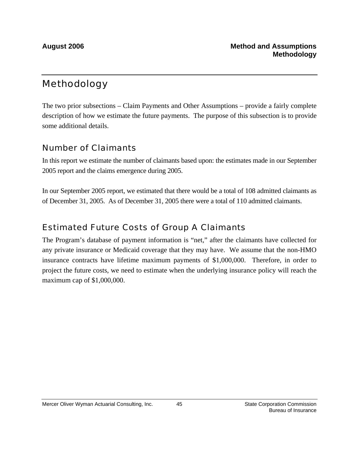## Methodology

The two prior subsections – Claim Payments and Other Assumptions – provide a fairly complete description of how we estimate the future payments. The purpose of this subsection is to provide some additional details.

### Number of Claimants

In this report we estimate the number of claimants based upon: the estimates made in our September 2005 report and the claims emergence during 2005.

In our September 2005 report, we estimated that there would be a total of 108 admitted claimants as of December 31, 2005. As of December 31, 2005 there were a total of 110 admitted claimants.

### Estimated Future Costs of Group A Claimants

The Program's database of payment information is "net," after the claimants have collected for any private insurance or Medicaid coverage that they may have. We assume that the non-HMO insurance contracts have lifetime maximum payments of \$1,000,000. Therefore, in order to project the future costs, we need to estimate when the underlying insurance policy will reach the maximum cap of \$1,000,000.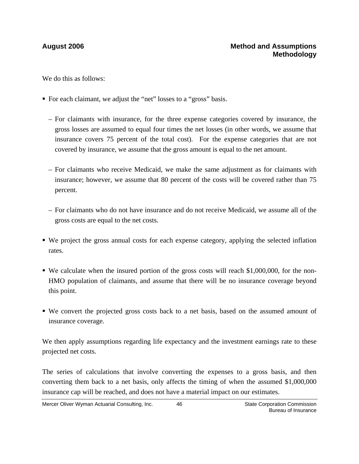We do this as follows:

- For each claimant, we adjust the "net" losses to a "gross" basis.
	- For claimants with insurance, for the three expense categories covered by insurance, the gross losses are assumed to equal four times the net losses (in other words, we assume that insurance covers 75 percent of the total cost). For the expense categories that are not covered by insurance, we assume that the gross amount is equal to the net amount.
	- For claimants who receive Medicaid, we make the same adjustment as for claimants with insurance; however, we assume that 80 percent of the costs will be covered rather than 75 percent.
	- For claimants who do not have insurance and do not receive Medicaid, we assume all of the gross costs are equal to the net costs.
- We project the gross annual costs for each expense category, applying the selected inflation rates.
- We calculate when the insured portion of the gross costs will reach \$1,000,000, for the non-HMO population of claimants, and assume that there will be no insurance coverage beyond this point.
- We convert the projected gross costs back to a net basis, based on the assumed amount of insurance coverage.

We then apply assumptions regarding life expectancy and the investment earnings rate to these projected net costs.

The series of calculations that involve converting the expenses to a gross basis, and then converting them back to a net basis, only affects the timing of when the assumed \$1,000,000 insurance cap will be reached, and does not have a material impact on our estimates.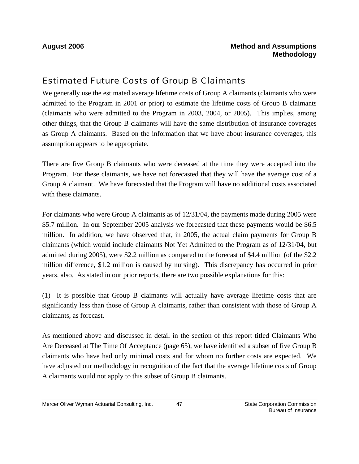## Estimated Future Costs of Group B Claimants

We generally use the estimated average lifetime costs of Group A claimants (claimants who were admitted to the Program in 2001 or prior) to estimate the lifetime costs of Group B claimants (claimants who were admitted to the Program in 2003, 2004, or 2005). This implies, among other things, that the Group B claimants will have the same distribution of insurance coverages as Group A claimants. Based on the information that we have about insurance coverages, this assumption appears to be appropriate.

There are five Group B claimants who were deceased at the time they were accepted into the Program. For these claimants, we have not forecasted that they will have the average cost of a Group A claimant. We have forecasted that the Program will have no additional costs associated with these claimants.

For claimants who were Group A claimants as of 12/31/04, the payments made during 2005 were \$5.7 million. In our September 2005 analysis we forecasted that these payments would be \$6.5 million. In addition, we have observed that, in 2005, the actual claim payments for Group B claimants (which would include claimants Not Yet Admitted to the Program as of 12/31/04, but admitted during 2005), were \$2.2 million as compared to the forecast of \$4.4 million (of the \$2.2 million difference, \$1.2 million is caused by nursing). This discrepancy has occurred in prior years, also. As stated in our prior reports, there are two possible explanations for this:

(1) It is possible that Group B claimants will actually have average lifetime costs that are significantly less than those of Group A claimants, rather than consistent with those of Group A claimants, as forecast.

As mentioned above and discussed in detail in the section of this report titled Claimants Who Are Deceased at The Time Of Acceptance (page 65), we have identified a subset of five Group B claimants who have had only minimal costs and for whom no further costs are expected. We have adjusted our methodology in recognition of the fact that the average lifetime costs of Group A claimants would not apply to this subset of Group B claimants.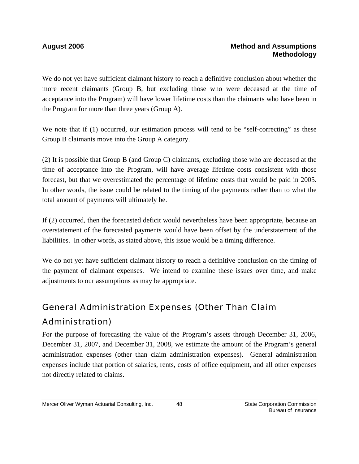We do not yet have sufficient claimant history to reach a definitive conclusion about whether the more recent claimants (Group B, but excluding those who were deceased at the time of acceptance into the Program) will have lower lifetime costs than the claimants who have been in the Program for more than three years (Group A).

We note that if (1) occurred, our estimation process will tend to be "self-correcting" as these Group B claimants move into the Group A category.

(2) It is possible that Group B (and Group C) claimants, excluding those who are deceased at the time of acceptance into the Program, will have average lifetime costs consistent with those forecast, but that we overestimated the percentage of lifetime costs that would be paid in 2005. In other words, the issue could be related to the timing of the payments rather than to what the total amount of payments will ultimately be.

If (2) occurred, then the forecasted deficit would nevertheless have been appropriate, because an overstatement of the forecasted payments would have been offset by the understatement of the liabilities. In other words, as stated above, this issue would be a timing difference.

We do not yet have sufficient claimant history to reach a definitive conclusion on the timing of the payment of claimant expenses. We intend to examine these issues over time, and make adjustments to our assumptions as may be appropriate.

# General Administration Expenses (Other Than Claim Administration)

For the purpose of forecasting the value of the Program's assets through December 31, 2006, December 31, 2007, and December 31, 2008, we estimate the amount of the Program's general administration expenses (other than claim administration expenses). General administration expenses include that portion of salaries, rents, costs of office equipment, and all other expenses not directly related to claims.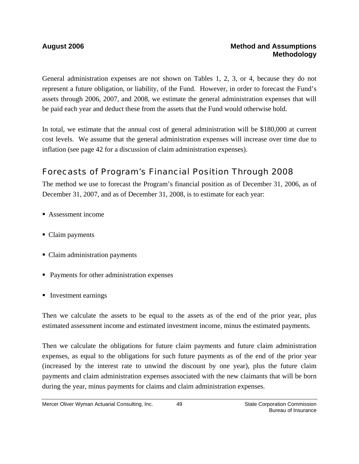General administration expenses are not shown on Tables 1, 2, 3, or 4, because they do not represent a future obligation, or liability, of the Fund. However, in order to forecast the Fund's assets through 2006, 2007, and 2008, we estimate the general administration expenses that will be paid each year and deduct these from the assets that the Fund would otherwise hold.

In total, we estimate that the annual cost of general administration will be \$180,000 at current cost levels. We assume that the general administration expenses will increase over time due to inflation (see page 42 for a discussion of claim administration expenses).

## Forecasts of Program's Financial Position Through 2008

The method we use to forecast the Program's financial position as of December 31, 2006, as of December 31, 2007, and as of December 31, 2008, is to estimate for each year:

- Assessment income
- Claim payments
- Claim administration payments
- Payments for other administration expenses
- Investment earnings

Then we calculate the assets to be equal to the assets as of the end of the prior year, plus estimated assessment income and estimated investment income, minus the estimated payments.

Then we calculate the obligations for future claim payments and future claim administration expenses, as equal to the obligations for such future payments as of the end of the prior year (increased by the interest rate to unwind the discount by one year), plus the future claim payments and claim administration expenses associated with the new claimants that will be born during the year, minus payments for claims and claim administration expenses.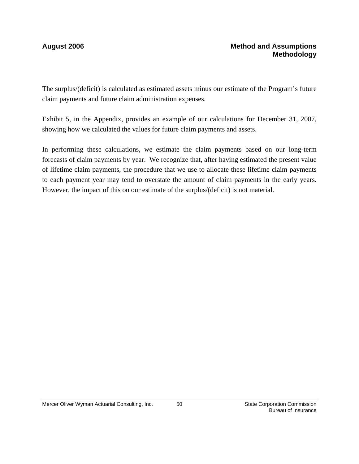The surplus/(deficit) is calculated as estimated assets minus our estimate of the Program's future claim payments and future claim administration expenses.

Exhibit 5, in the Appendix, provides an example of our calculations for December 31, 2007, showing how we calculated the values for future claim payments and assets.

In performing these calculations, we estimate the claim payments based on our long-term forecasts of claim payments by year. We recognize that, after having estimated the present value of lifetime claim payments, the procedure that we use to allocate these lifetime claim payments to each payment year may tend to overstate the amount of claim payments in the early years. However, the impact of this on our estimate of the surplus/(deficit) is not material.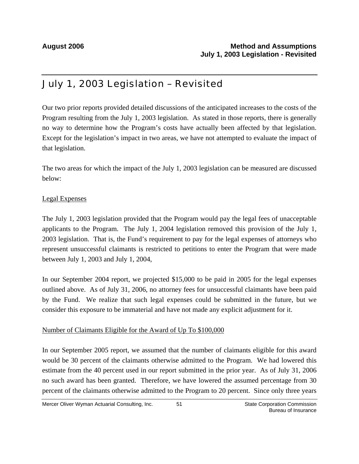## July 1, 2003 Legislation – Revisited

Our two prior reports provided detailed discussions of the anticipated increases to the costs of the Program resulting from the July 1, 2003 legislation. As stated in those reports, there is generally no way to determine how the Program's costs have actually been affected by that legislation. Except for the legislation's impact in two areas, we have not attempted to evaluate the impact of that legislation.

The two areas for which the impact of the July 1, 2003 legislation can be measured are discussed below:

### Legal Expenses

The July 1, 2003 legislation provided that the Program would pay the legal fees of unacceptable applicants to the Program. The July 1, 2004 legislation removed this provision of the July 1, 2003 legislation. That is, the Fund's requirement to pay for the legal expenses of attorneys who represent unsuccessful claimants is restricted to petitions to enter the Program that were made between July 1, 2003 and July 1, 2004,

In our September 2004 report, we projected \$15,000 to be paid in 2005 for the legal expenses outlined above. As of July 31, 2006, no attorney fees for unsuccessful claimants have been paid by the Fund. We realize that such legal expenses could be submitted in the future, but we consider this exposure to be immaterial and have not made any explicit adjustment for it.

### Number of Claimants Eligible for the Award of Up To \$100,000

In our September 2005 report, we assumed that the number of claimants eligible for this award would be 30 percent of the claimants otherwise admitted to the Program. We had lowered this estimate from the 40 percent used in our report submitted in the prior year. As of July 31, 2006 no such award has been granted. Therefore, we have lowered the assumed percentage from 30 percent of the claimants otherwise admitted to the Program to 20 percent. Since only three years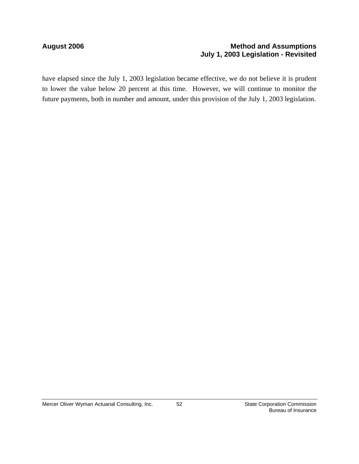### August 2006 **Method and Assumptions Method and Assumptions July 1, 2003 Legislation - Revisited**

have elapsed since the July 1, 2003 legislation became effective, we do not believe it is prudent to lower the value below 20 percent at this time. However, we will continue to monitor the future payments, both in number and amount, under this provision of the July 1, 2003 legislation.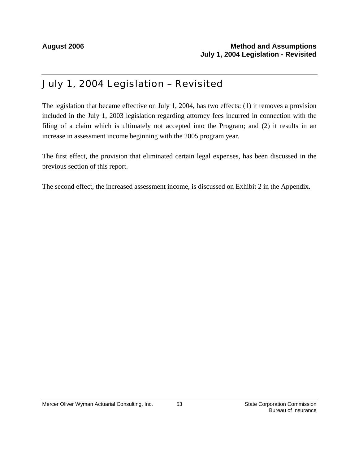## July 1, 2004 Legislation – Revisited

The legislation that became effective on July 1, 2004, has two effects: (1) it removes a provision included in the July 1, 2003 legislation regarding attorney fees incurred in connection with the filing of a claim which is ultimately not accepted into the Program; and (2) it results in an increase in assessment income beginning with the 2005 program year.

The first effect, the provision that eliminated certain legal expenses, has been discussed in the previous section of this report.

The second effect, the increased assessment income, is discussed on Exhibit 2 in the Appendix.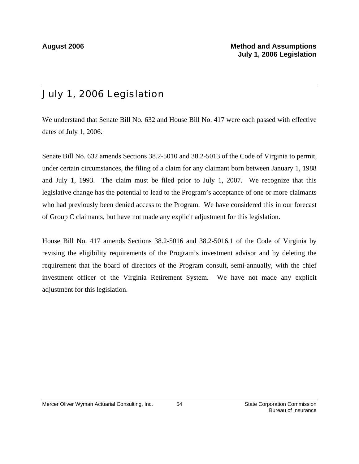# July 1, 2006 Legislation

We understand that Senate Bill No. 632 and House Bill No. 417 were each passed with effective dates of July 1, 2006.

Senate Bill No. 632 amends Sections 38.2-5010 and 38.2-5013 of the Code of Virginia to permit, under certain circumstances, the filing of a claim for any claimant born between January 1, 1988 and July 1, 1993. The claim must be filed prior to July 1, 2007. We recognize that this legislative change has the potential to lead to the Program's acceptance of one or more claimants who had previously been denied access to the Program. We have considered this in our forecast of Group C claimants, but have not made any explicit adjustment for this legislation.

House Bill No. 417 amends Sections 38.2-5016 and 38.2-5016.1 of the Code of Virginia by revising the eligibility requirements of the Program's investment advisor and by deleting the requirement that the board of directors of the Program consult, semi-annually, with the chief investment officer of the Virginia Retirement System. We have not made any explicit adjustment for this legislation.

54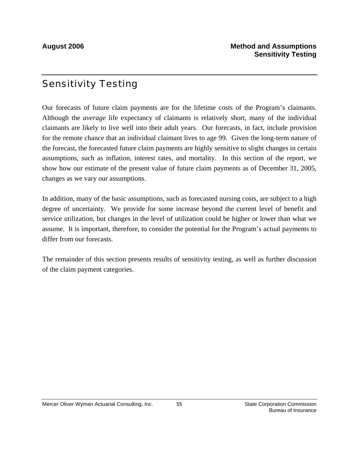## Sensitivity Testing

Our forecasts of future claim payments are for the lifetime costs of the Program's claimants. Although the *average* life expectancy of claimants is relatively short, many of the individual claimants are likely to live well into their adult years. Our forecasts, in fact, include provision for the remote chance that an individual claimant lives to age 99. Given the long-term nature of the forecast, the forecasted future claim payments are highly sensitive to slight changes in certain assumptions, such as inflation, interest rates, and mortality. In this section of the report, we show how our estimate of the present value of future claim payments as of December 31, 2005, changes as we vary our assumptions.

In addition, many of the basic assumptions, such as forecasted nursing costs, are subject to a high degree of uncertainty. We provide for some increase beyond the current level of benefit and service utilization, but changes in the level of utilization could be higher or lower than what we assume. It is important, therefore, to consider the potential for the Program's actual payments to differ from our forecasts.

The remainder of this section presents results of sensitivity testing, as well as further discussion of the claim payment categories.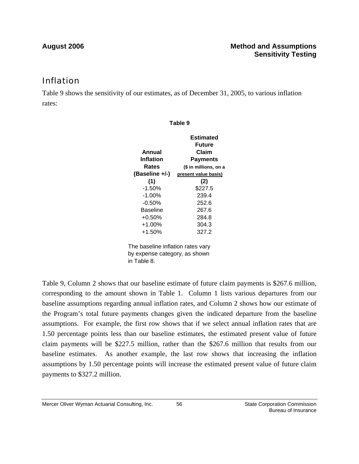## Inflation

Table 9 shows the sensitivity of our estimates, as of December 31, 2005, to various inflation rates:

**Table 9**

|                                   | Estimated             |  |
|-----------------------------------|-----------------------|--|
|                                   | <b>Future</b>         |  |
| Annual                            | Claim                 |  |
| Inflation                         | <b>Payments</b>       |  |
| Rates                             | (\$ in millions, on a |  |
| (Baseline +/-)                    | present value basis)  |  |
| (1)                               | (2)                   |  |
| $-1.50%$                          | \$227.5               |  |
| $-1.00\%$                         | 239.4                 |  |
| $-0.50%$                          | 252.6                 |  |
| Baseline                          | 267.6                 |  |
| $+0.50%$                          | 284.8                 |  |
| $+1.00\%$                         | 304.3                 |  |
| $+1.50%$                          | 327.2                 |  |
| The baseline inflation rates vary |                       |  |

by expense category, as shown in Table 8.

Table 9, Column 2 shows that our baseline estimate of future claim payments is \$267.6 million, corresponding to the amount shown in Table 1. Column 1 lists various departures from our baseline assumptions regarding annual inflation rates, and Column 2 shows how our estimate of the Program's total future payments changes given the indicated departure from the baseline assumptions. For example, the first row shows that if we select annual inflation rates that are 1.50 percentage points less than our baseline estimates, the estimated present value of future claim payments will be \$227.5 million, rather than the \$267.6 million that results from our baseline estimates. As another example, the last row shows that increasing the inflation assumptions by 1.50 percentage points will increase the estimated present value of future claim payments to \$327.2 million.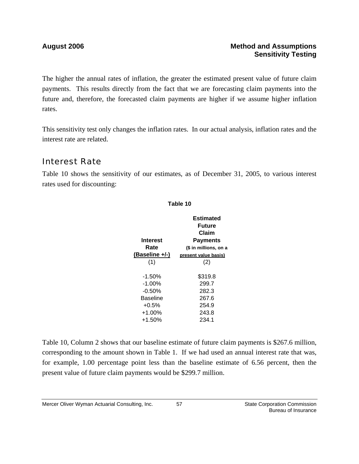The higher the annual rates of inflation, the greater the estimated present value of future claim payments. This results directly from the fact that we are forecasting claim payments into the future and, therefore, the forecasted claim payments are higher if we assume higher inflation rates.

This sensitivity test only changes the inflation rates. In our actual analysis, inflation rates and the interest rate are related.

## Interest Rate

Table 10 shows the sensitivity of our estimates, as of December 31, 2005, to various interest rates used for discounting:

| Table 10       |                                          |  |  |
|----------------|------------------------------------------|--|--|
| Interest       | Estimated<br>Future<br>Claim<br>Payments |  |  |
| Rate           | (\$ in millions, on a                    |  |  |
| (Baseline +/-) | present value basis)                     |  |  |
| (1)            | (2)                                      |  |  |
| $-1.50%$       | \$319.8                                  |  |  |
| -1.00%         | 299.7                                    |  |  |
| $-0.50\%$      | 282.3                                    |  |  |
| Baseline       | 267.6                                    |  |  |
| $+0.5%$        | 254.9                                    |  |  |
| $+1.00%$       | 243.8                                    |  |  |
| +1.50%         | 234.1                                    |  |  |

Table 10, Column 2 shows that our baseline estimate of future claim payments is \$267.6 million, corresponding to the amount shown in Table 1. If we had used an annual interest rate that was, for example, 1.00 percentage point less than the baseline estimate of 6.56 percent, then the present value of future claim payments would be \$299.7 million.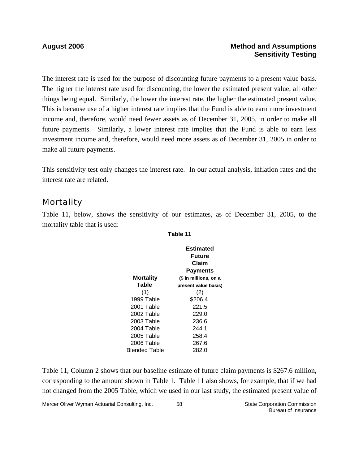### **August 2006 Method and Assumptions Sensitivity Testing**

The interest rate is used for the purpose of discounting future payments to a present value basis. The higher the interest rate used for discounting, the lower the estimated present value, all other things being equal. Similarly, the lower the interest rate, the higher the estimated present value. This is because use of a higher interest rate implies that the Fund is able to earn more investment income and, therefore, would need fewer assets as of December 31, 2005, in order to make all future payments. Similarly, a lower interest rate implies that the Fund is able to earn less investment income and, therefore, would need more assets as of December 31, 2005 in order to make all future payments.

This sensitivity test only changes the interest rate. In our actual analysis, inflation rates and the interest rate are related.

### **Mortality**

Table 11, below, shows the sensitivity of our estimates, as of December 31, 2005, to the mortality table that is used:

**Table 11**

|               | <b>Estimated</b><br><b>Future</b><br>Claim<br><b>Payments</b> |
|---------------|---------------------------------------------------------------|
| Mortality     | (\$ in millions, on a                                         |
| Table         | present value basis)                                          |
| (1)           | (2)                                                           |
| 1999 Table    | \$206.4                                                       |
| 2001 Table    | 221.5                                                         |
| 2002 Table    | 229.0                                                         |
| 2003 Table    | 236.6                                                         |
| 2004 Table    | 244.1                                                         |
| 2005 Table    | 258.4                                                         |
| 2006 Table    | 267.6                                                         |
| Blended Table | 282.0                                                         |

Table 11, Column 2 shows that our baseline estimate of future claim payments is \$267.6 million, corresponding to the amount shown in Table 1. Table 11 also shows, for example, that if we had not changed from the 2005 Table, which we used in our last study, the estimated present value of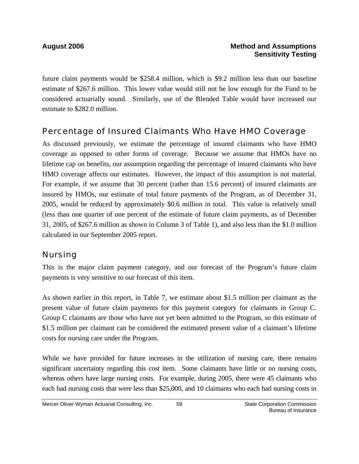future claim payments would be \$258.4 million, which is \$9.2 million less than our baseline estimate of \$267.6 million. This lower value would still not be low enough for the Fund to be considered actuarially sound. Similarly, use of the Blended Table would have increased our estimate to \$282.0 million.

### Percentage of Insured Claimants Who Have HMO Coverage

As discussed previously, we estimate the percentage of insured claimants who have HMO coverage as opposed to other forms of coverage. Because we assume that HMOs have no lifetime cap on benefits, our assumption regarding the percentage of insured claimants who have HMO coverage affects our estimates. However, the impact of this assumption is not material. For example, if we assume that 30 percent (rather than 15.6 percent) of insured claimants are insured by HMOs, our estimate of total future payments of the Program, as of December 31, 2005, would be reduced by approximately \$0.6 million in total. This value is relatively small (less than one quarter of one percent of the estimate of future claim payments, as of December 31, 2005, of \$267.6 million as shown in Column 3 of Table 1), and also less than the \$1.0 million calculated in our September 2005 report.

### Nursing

This is the major claim payment category, and our forecast of the Program's future claim payments is very sensitive to our forecast of this item.

As shown earlier in this report, in Table 7, we estimate about \$1.5 million per claimant as the present value of future claim payments for this payment category for claimants in Group C. Group C claimants are those who have not yet been admitted to the Program, so this estimate of \$1.5 million per claimant can be considered the estimated present value of a claimant's lifetime costs for nursing care under the Program.

While we have provided for future increases in the utilization of nursing care, there remains significant uncertainty regarding this cost item. Some claimants have little or no nursing costs, whereas others have large nursing costs. For example, during 2005, there were 45 claimants who each had nursing costs that were less than \$25,000, and 10 claimants who each had nursing costs in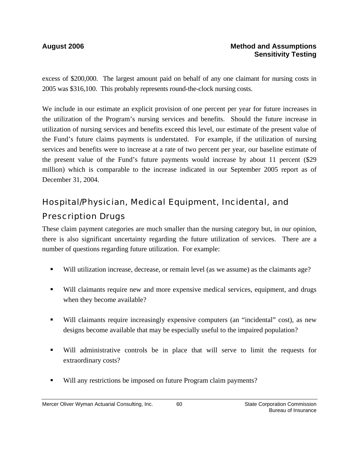excess of \$200,000. The largest amount paid on behalf of any one claimant for nursing costs in 2005 was \$316,100. This probably represents round-the-clock nursing costs.

We include in our estimate an explicit provision of one percent per year for future increases in the utilization of the Program's nursing services and benefits. Should the future increase in utilization of nursing services and benefits exceed this level, our estimate of the present value of the Fund's future claims payments is understated. For example, if the utilization of nursing services and benefits were to increase at a rate of two percent per year, our baseline estimate of the present value of the Fund's future payments would increase by about 11 percent (\$29 million) which is comparable to the increase indicated in our September 2005 report as of December 31, 2004.

# Hospital/Physician, Medical Equipment, Incidental, and Prescription Drugs

These claim payment categories are much smaller than the nursing category but, in our opinion, there is also significant uncertainty regarding the future utilization of services. There are a number of questions regarding future utilization. For example:

- Will utilization increase, decrease, or remain level (as we assume) as the claimants age?
- Will claimants require new and more expensive medical services, equipment, and drugs when they become available?
- Will claimants require increasingly expensive computers (an "incidental" cost), as new designs become available that may be especially useful to the impaired population?
- Will administrative controls be in place that will serve to limit the requests for extraordinary costs?
- Will any restrictions be imposed on future Program claim payments?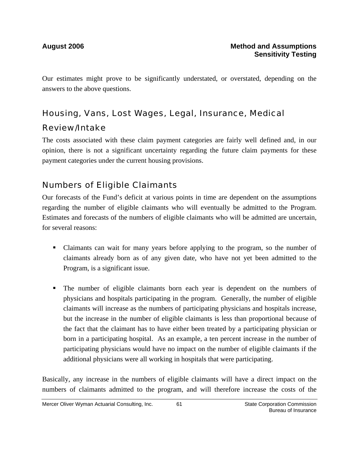Our estimates might prove to be significantly understated, or overstated, depending on the answers to the above questions.

# Housing, Vans, Lost Wages, Legal, Insurance, Medical

## Review/Intake

The costs associated with these claim payment categories are fairly well defined and, in our opinion, there is not a significant uncertainty regarding the future claim payments for these payment categories under the current housing provisions.

## Numbers of Eligible Claimants

Our forecasts of the Fund's deficit at various points in time are dependent on the assumptions regarding the number of eligible claimants who will eventually be admitted to the Program. Estimates and forecasts of the numbers of eligible claimants who will be admitted are uncertain, for several reasons:

- Claimants can wait for many years before applying to the program, so the number of claimants already born as of any given date, who have not yet been admitted to the Program, is a significant issue.
- The number of eligible claimants born each year is dependent on the numbers of physicians and hospitals participating in the program. Generally, the number of eligible claimants will increase as the numbers of participating physicians and hospitals increase, but the increase in the number of eligible claimants is less than proportional because of the fact that the claimant has to have either been treated by a participating physician or born in a participating hospital. As an example, a ten percent increase in the number of participating physicians would have no impact on the number of eligible claimants if the additional physicians were all working in hospitals that were participating.

Basically, any increase in the numbers of eligible claimants will have a direct impact on the numbers of claimants admitted to the program, and will therefore increase the costs of the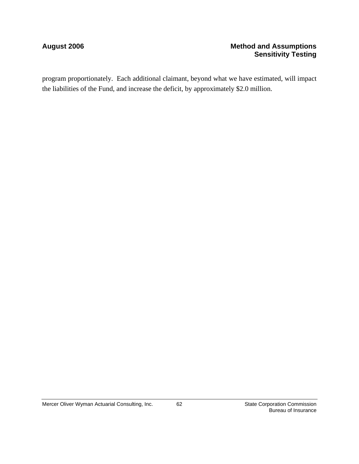### August 2006 **Method and Assumptions Method and Assumptions Sensitivity Testing**

program proportionately. Each additional claimant, beyond what we have estimated, will impact the liabilities of the Fund, and increase the deficit, by approximately \$2.0 million.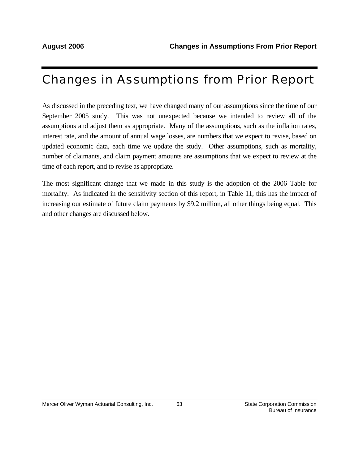# Changes in Assumptions from Prior Report

As discussed in the preceding text, we have changed many of our assumptions since the time of our September 2005 study. This was not unexpected because we intended to review all of the assumptions and adjust them as appropriate. Many of the assumptions, such as the inflation rates, interest rate, and the amount of annual wage losses, are numbers that we expect to revise, based on updated economic data, each time we update the study. Other assumptions, such as mortality, number of claimants, and claim payment amounts are assumptions that we expect to review at the time of each report, and to revise as appropriate.

The most significant change that we made in this study is the adoption of the 2006 Table for mortality. As indicated in the sensitivity section of this report, in Table 11, this has the impact of increasing our estimate of future claim payments by \$9.2 million, all other things being equal. This and other changes are discussed below.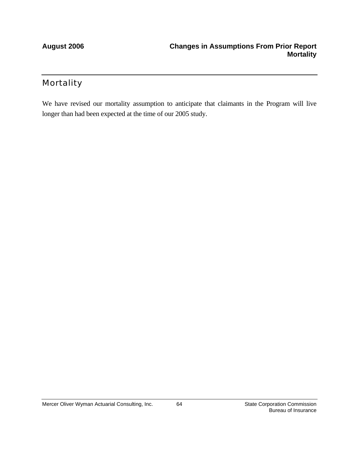## **Mortality**

We have revised our mortality assumption to anticipate that claimants in the Program will live longer than had been expected at the time of our 2005 study.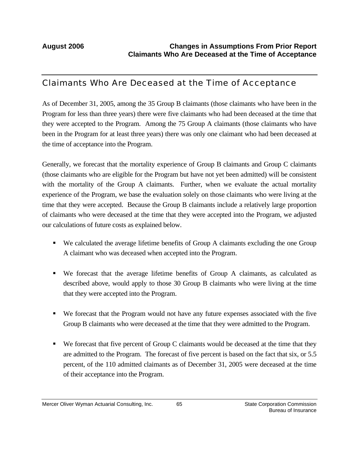### Claimants Who Are Deceased at the Time of Acceptance

As of December 31, 2005, among the 35 Group B claimants (those claimants who have been in the Program for less than three years) there were five claimants who had been deceased at the time that they were accepted to the Program. Among the 75 Group A claimants (those claimants who have been in the Program for at least three years) there was only one claimant who had been deceased at the time of acceptance into the Program.

Generally, we forecast that the mortality experience of Group B claimants and Group C claimants (those claimants who are eligible for the Program but have not yet been admitted) will be consistent with the mortality of the Group A claimants. Further, when we evaluate the actual mortality experience of the Program, we base the evaluation solely on those claimants who were living at the time that they were accepted. Because the Group B claimants include a relatively large proportion of claimants who were deceased at the time that they were accepted into the Program, we adjusted our calculations of future costs as explained below.

- We calculated the average lifetime benefits of Group A claimants excluding the one Group A claimant who was deceased when accepted into the Program.
- We forecast that the average lifetime benefits of Group A claimants, as calculated as described above, would apply to those 30 Group B claimants who were living at the time that they were accepted into the Program.
- We forecast that the Program would not have any future expenses associated with the five Group B claimants who were deceased at the time that they were admitted to the Program.
- We forecast that five percent of Group C claimants would be deceased at the time that they are admitted to the Program. The forecast of five percent is based on the fact that six, or 5.5 percent, of the 110 admitted claimants as of December 31, 2005 were deceased at the time of their acceptance into the Program.

65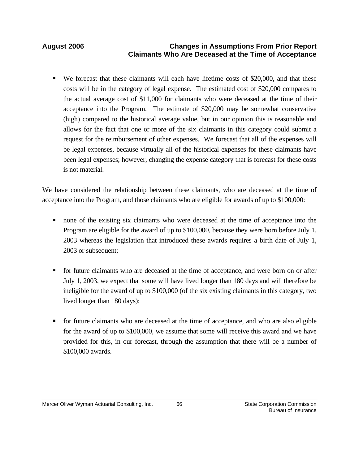### **August 2006 Changes in Assumptions From Prior Report Claimants Who Are Deceased at the Time of Acceptance**

 We forecast that these claimants will each have lifetime costs of \$20,000, and that these costs will be in the category of legal expense. The estimated cost of \$20,000 compares to the actual average cost of \$11,000 for claimants who were deceased at the time of their acceptance into the Program. The estimate of \$20,000 may be somewhat conservative (high) compared to the historical average value, but in our opinion this is reasonable and allows for the fact that one or more of the six claimants in this category could submit a request for the reimbursement of other expenses. We forecast that all of the expenses will be legal expenses, because virtually all of the historical expenses for these claimants have been legal expenses; however, changing the expense category that is forecast for these costs is not material.

We have considered the relationship between these claimants, who are deceased at the time of acceptance into the Program, and those claimants who are eligible for awards of up to \$100,000:

- none of the existing six claimants who were deceased at the time of acceptance into the Program are eligible for the award of up to \$100,000, because they were born before July 1, 2003 whereas the legislation that introduced these awards requires a birth date of July 1, 2003 or subsequent;
- for future claimants who are deceased at the time of acceptance, and were born on or after July 1, 2003, we expect that some will have lived longer than 180 days and will therefore be ineligible for the award of up to \$100,000 (of the six existing claimants in this category, two lived longer than 180 days);
- for future claimants who are deceased at the time of acceptance, and who are also eligible for the award of up to \$100,000, we assume that some will receive this award and we have provided for this, in our forecast, through the assumption that there will be a number of \$100,000 awards.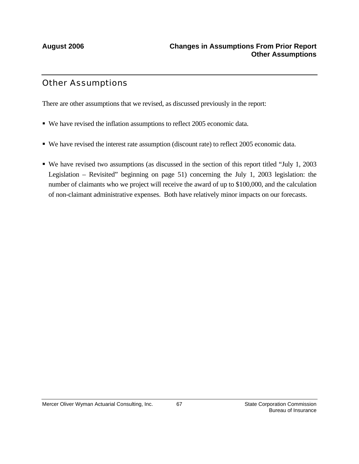## Other Assumptions

There are other assumptions that we revised, as discussed previously in the report:

- We have revised the inflation assumptions to reflect 2005 economic data.
- We have revised the interest rate assumption (discount rate) to reflect 2005 economic data.
- We have revised two assumptions (as discussed in the section of this report titled "July 1, 2003 Legislation – Revisited" beginning on page 51) concerning the July 1, 2003 legislation: the number of claimants who we project will receive the award of up to \$100,000, and the calculation of non-claimant administrative expenses. Both have relatively minor impacts on our forecasts.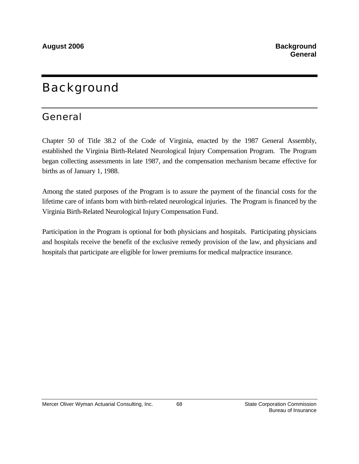# **Background**

## General

Chapter 50 of Title 38.2 of the Code of Virginia, enacted by the 1987 General Assembly, established the Virginia Birth-Related Neurological Injury Compensation Program. The Program began collecting assessments in late 1987, and the compensation mechanism became effective for births as of January 1, 1988.

Among the stated purposes of the Program is to assure the payment of the financial costs for the lifetime care of infants born with birth-related neurological injuries. The Program is financed by the Virginia Birth-Related Neurological Injury Compensation Fund.

Participation in the Program is optional for both physicians and hospitals. Participating physicians and hospitals receive the benefit of the exclusive remedy provision of the law, and physicians and hospitals that participate are eligible for lower premiums for medical malpractice insurance.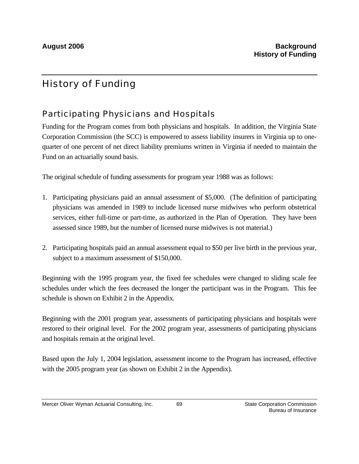# History of Funding

# Participating Physicians and Hospitals

Funding for the Program comes from both physicians and hospitals. In addition, the Virginia State Corporation Commission (the SCC) is empowered to assess liability insurers in Virginia up to onequarter of one percent of net direct liability premiums written in Virginia if needed to maintain the Fund on an actuarially sound basis.

The original schedule of funding assessments for program year 1988 was as follows:

- 1. Participating physicians paid an annual assessment of \$5,000. (The definition of participating physicians was amended in 1989 to include licensed nurse midwives who perform obstetrical services, either full-time or part-time, as authorized in the Plan of Operation. They have been assessed since 1989, but the number of licensed nurse midwives is not material.)
- 2. Participating hospitals paid an annual assessment equal to \$50 per live birth in the previous year, subject to a maximum assessment of \$150,000.

Beginning with the 1995 program year, the fixed fee schedules were changed to sliding scale fee schedules under which the fees decreased the longer the participant was in the Program. This fee schedule is shown on Exhibit 2 in the Appendix.

Beginning with the 2001 program year, assessments of participating physicians and hospitals were restored to their original level. For the 2002 program year, assessments of participating physicians and hospitals remain at the original level.

Based upon the July 1, 2004 legislation, assessment income to the Program has increased, effective with the 2005 program year (as shown on Exhibit 2 in the Appendix).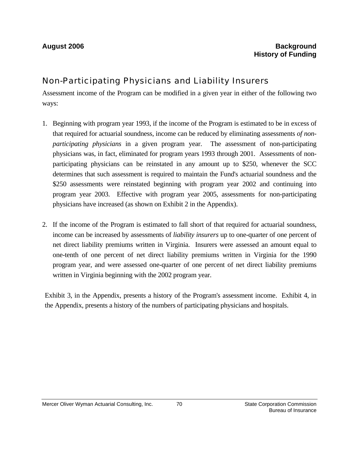# Non-Participating Physicians and Liability Insurers

Assessment income of the Program can be modified in a given year in either of the following two ways:

- 1. Beginning with program year 1993, if the income of the Program is estimated to be in excess of that required for actuarial soundness, income can be reduced by eliminating assessments *of nonparticipating physicians* in a given program year. The assessment of non-participating physicians was, in fact, eliminated for program years 1993 through 2001. Assessments of nonparticipating physicians can be reinstated in any amount up to \$250, whenever the SCC determines that such assessment is required to maintain the Fund's actuarial soundness and the \$250 assessments were reinstated beginning with program year 2002 and continuing into program year 2003. Effective with program year 2005, assessments for non-participating physicians have increased (as shown on Exhibit 2 in the Appendix).
- 2. If the income of the Program is estimated to fall short of that required for actuarial soundness, income can be increased by assessments of *liability insurers* up to one-quarter of one percent of net direct liability premiums written in Virginia. Insurers were assessed an amount equal to one-tenth of one percent of net direct liability premiums written in Virginia for the 1990 program year, and were assessed one-quarter of one percent of net direct liability premiums written in Virginia beginning with the 2002 program year.

Exhibit 3, in the Appendix, presents a history of the Program's assessment income. Exhibit 4, in the Appendix, presents a history of the numbers of participating physicians and hospitals.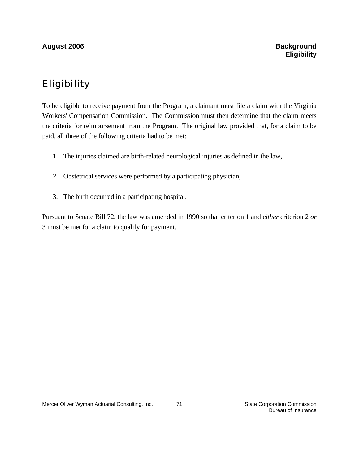# Eligibility

To be eligible to receive payment from the Program, a claimant must file a claim with the Virginia Workers' Compensation Commission. The Commission must then determine that the claim meets the criteria for reimbursement from the Program. The original law provided that, for a claim to be paid, all three of the following criteria had to be met:

- 1. The injuries claimed are birth-related neurological injuries as defined in the law,
- 2. Obstetrical services were performed by a participating physician,
- 3. The birth occurred in a participating hospital.

Pursuant to Senate Bill 72, the law was amended in 1990 so that criterion 1 and *either* criterion 2 *or* 3 must be met for a claim to qualify for payment.

71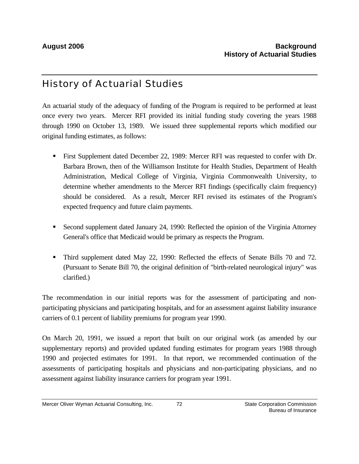# History of Actuarial Studies

An actuarial study of the adequacy of funding of the Program is required to be performed at least once every two years. Mercer RFI provided its initial funding study covering the years 1988 through 1990 on October 13, 1989. We issued three supplemental reports which modified our original funding estimates, as follows:

- First Supplement dated December 22, 1989: Mercer RFI was requested to confer with Dr. Barbara Brown, then of the Williamson Institute for Health Studies, Department of Health Administration, Medical College of Virginia, Virginia Commonwealth University, to determine whether amendments to the Mercer RFI findings (specifically claim frequency) should be considered. As a result, Mercer RFI revised its estimates of the Program's expected frequency and future claim payments.
- Second supplement dated January 24, 1990: Reflected the opinion of the Virginia Attorney General's office that Medicaid would be primary as respects the Program.
- Third supplement dated May 22, 1990: Reflected the effects of Senate Bills 70 and 72. (Pursuant to Senate Bill 70, the original definition of "birth-related neurological injury" was clarified.)

The recommendation in our initial reports was for the assessment of participating and nonparticipating physicians and participating hospitals, and for an assessment against liability insurance carriers of 0.1 percent of liability premiums for program year 1990.

On March 20, 1991, we issued a report that built on our original work (as amended by our supplementary reports) and provided updated funding estimates for program years 1988 through 1990 and projected estimates for 1991. In that report, we recommended continuation of the assessments of participating hospitals and physicians and non-participating physicians, and no assessment against liability insurance carriers for program year 1991.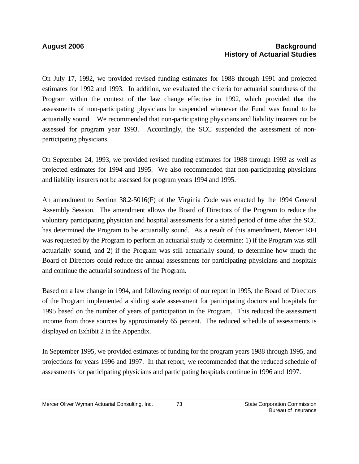## **August 2006 Background History of Actuarial Studies**

On July 17, 1992, we provided revised funding estimates for 1988 through 1991 and projected estimates for 1992 and 1993. In addition, we evaluated the criteria for actuarial soundness of the Program within the context of the law change effective in 1992, which provided that the assessments of non-participating physicians be suspended whenever the Fund was found to be actuarially sound. We recommended that non-participating physicians and liability insurers not be assessed for program year 1993. Accordingly, the SCC suspended the assessment of nonparticipating physicians.

On September 24, 1993, we provided revised funding estimates for 1988 through 1993 as well as projected estimates for 1994 and 1995. We also recommended that non-participating physicians and liability insurers not be assessed for program years 1994 and 1995.

An amendment to Section 38.2-5016(F) of the Virginia Code was enacted by the 1994 General Assembly Session. The amendment allows the Board of Directors of the Program to reduce the voluntary participating physician and hospital assessments for a stated period of time after the SCC has determined the Program to be actuarially sound. As a result of this amendment, Mercer RFI was requested by the Program to perform an actuarial study to determine: 1) if the Program was still actuarially sound, and 2) if the Program was still actuarially sound, to determine how much the Board of Directors could reduce the annual assessments for participating physicians and hospitals and continue the actuarial soundness of the Program.

Based on a law change in 1994, and following receipt of our report in 1995, the Board of Directors of the Program implemented a sliding scale assessment for participating doctors and hospitals for 1995 based on the number of years of participation in the Program. This reduced the assessment income from those sources by approximately 65 percent. The reduced schedule of assessments is displayed on Exhibit 2 in the Appendix.

In September 1995, we provided estimates of funding for the program years 1988 through 1995, and projections for years 1996 and 1997. In that report, we recommended that the reduced schedule of assessments for participating physicians and participating hospitals continue in 1996 and 1997.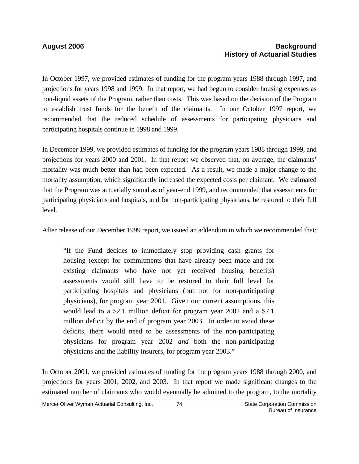### **August 2006 Background History of Actuarial Studies**

In October 1997, we provided estimates of funding for the program years 1988 through 1997, and projections for years 1998 and 1999. In that report, we had begun to consider housing expenses as non-liquid assets of the Program, rather than costs. This was based on the decision of the Program to establish trust funds for the benefit of the claimants. In our October 1997 report, we recommended that the reduced schedule of assessments for participating physicians and participating hospitals continue in 1998 and 1999.

In December 1999, we provided estimates of funding for the program years 1988 through 1999, and projections for years 2000 and 2001. In that report we observed that, on average, the claimants' mortality was much better than had been expected. As a result, we made a major change to the mortality assumption, which significantly increased the expected costs per claimant. We estimated that the Program was actuarially sound as of year-end 1999, and recommended that assessments for participating physicians and hospitals, and for non-participating physicians, be restored to their full level.

After release of our December 1999 report, we issued an addendum in which we recommended that:

"If the Fund decides to immediately stop providing cash grants for housing (except for commitments that have already been made and for existing claimants who have not yet received housing benefits) assessments would still have to be restored to their full level for participating hospitals and physicians (but not for non-participating physicians), for program year 2001. Given our current assumptions, this would lead to a \$2.1 million deficit for program year 2002 and a \$7.1 million deficit by the end of program year 2003. In order to avoid these deficits, there would need to be assessments of the non-participating physicians for program year 2002 *and* both the non-participating physicians and the liability insurers, for program year 2003."

In October 2001, we provided estimates of funding for the program years 1988 through 2000, and projections for years 2001, 2002, and 2003. In that report we made significant changes to the estimated number of claimants who would eventually be admitted to the program, to the mortality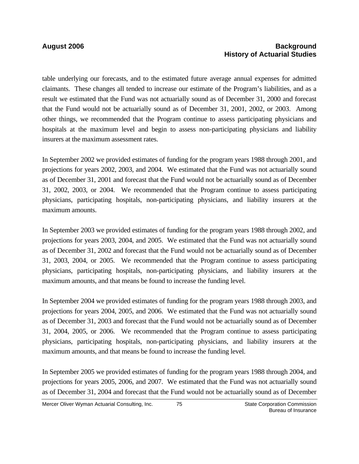### **August 2006 Background History of Actuarial Studies**

table underlying our forecasts, and to the estimated future average annual expenses for admitted claimants. These changes all tended to increase our estimate of the Program's liabilities, and as a result we estimated that the Fund was not actuarially sound as of December 31, 2000 and forecast that the Fund would not be actuarially sound as of December 31, 2001, 2002, or 2003. Among other things, we recommended that the Program continue to assess participating physicians and hospitals at the maximum level and begin to assess non-participating physicians and liability insurers at the maximum assessment rates.

In September 2002 we provided estimates of funding for the program years 1988 through 2001, and projections for years 2002, 2003, and 2004. We estimated that the Fund was not actuarially sound as of December 31, 2001 and forecast that the Fund would not be actuarially sound as of December 31, 2002, 2003, or 2004. We recommended that the Program continue to assess participating physicians, participating hospitals, non-participating physicians, and liability insurers at the maximum amounts.

In September 2003 we provided estimates of funding for the program years 1988 through 2002, and projections for years 2003, 2004, and 2005. We estimated that the Fund was not actuarially sound as of December 31, 2002 and forecast that the Fund would not be actuarially sound as of December 31, 2003, 2004, or 2005. We recommended that the Program continue to assess participating physicians, participating hospitals, non-participating physicians, and liability insurers at the maximum amounts, and that means be found to increase the funding level.

In September 2004 we provided estimates of funding for the program years 1988 through 2003, and projections for years 2004, 2005, and 2006. We estimated that the Fund was not actuarially sound as of December 31, 2003 and forecast that the Fund would not be actuarially sound as of December 31, 2004, 2005, or 2006. We recommended that the Program continue to assess participating physicians, participating hospitals, non-participating physicians, and liability insurers at the maximum amounts, and that means be found to increase the funding level.

In September 2005 we provided estimates of funding for the program years 1988 through 2004, and projections for years 2005, 2006, and 2007. We estimated that the Fund was not actuarially sound as of December 31, 2004 and forecast that the Fund would not be actuarially sound as of December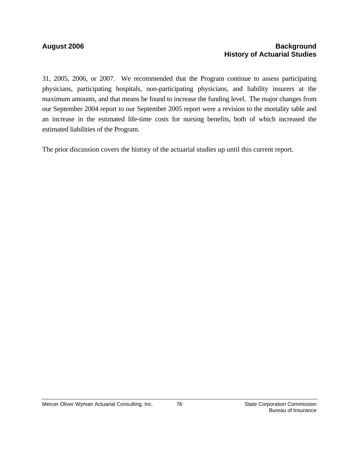### **August 2006 Background History of Actuarial Studies**

31, 2005, 2006, or 2007. We recommended that the Program continue to assess participating physicians, participating hospitals, non-participating physicians, and liability insurers at the maximum amounts, and that means be found to increase the funding level. The major changes from our September 2004 report to our September 2005 report were a revision to the mortality table and an increase in the estimated life-time costs for nursing benefits, both of which increased the estimated liabilities of the Program.

The prior discussion covers the history of the actuarial studies up until this current report.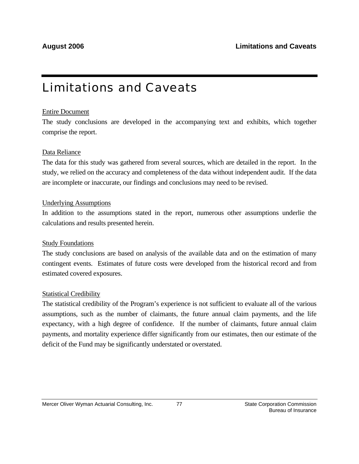# Limitations and Caveats

## Entire Document

The study conclusions are developed in the accompanying text and exhibits, which together comprise the report.

## Data Reliance

The data for this study was gathered from several sources, which are detailed in the report. In the study, we relied on the accuracy and completeness of the data without independent audit. If the data are incomplete or inaccurate, our findings and conclusions may need to be revised.

## Underlying Assumptions

In addition to the assumptions stated in the report, numerous other assumptions underlie the calculations and results presented herein.

## Study Foundations

The study conclusions are based on analysis of the available data and on the estimation of many contingent events. Estimates of future costs were developed from the historical record and from estimated covered exposures.

## Statistical Credibility

The statistical credibility of the Program's experience is not sufficient to evaluate all of the various assumptions, such as the number of claimants, the future annual claim payments, and the life expectancy, with a high degree of confidence. If the number of claimants, future annual claim payments, and mortality experience differ significantly from our estimates, then our estimate of the deficit of the Fund may be significantly understated or overstated.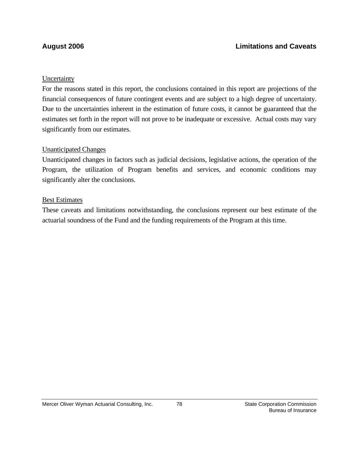## **Uncertainty**

For the reasons stated in this report, the conclusions contained in this report are projections of the financial consequences of future contingent events and are subject to a high degree of uncertainty. Due to the uncertainties inherent in the estimation of future costs, it cannot be guaranteed that the estimates set forth in the report will not prove to be inadequate or excessive. Actual costs may vary significantly from our estimates.

## Unanticipated Changes

Unanticipated changes in factors such as judicial decisions, legislative actions, the operation of the Program, the utilization of Program benefits and services, and economic conditions may significantly alter the conclusions.

## Best Estimates

These caveats and limitations notwithstanding, the conclusions represent our best estimate of the actuarial soundness of the Fund and the funding requirements of the Program at this time.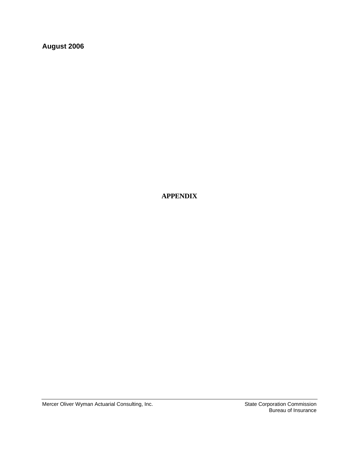**August 2006** 

 **APPENDIX** 

Mercer Oliver Wyman Actuarial Consulting, Inc. State Corporation Commission

Bureau of Insurance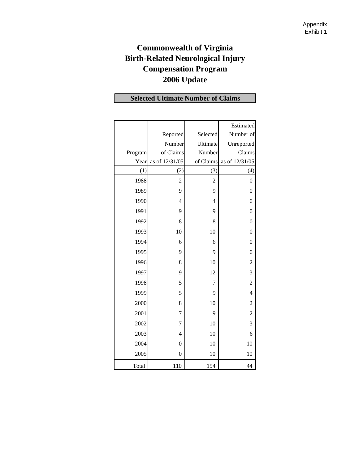# **Commonwealth of Virginia Birth-Related Neurological Injury Compensation Program 2006 Update**

# **Selected Ultimate Number of Claims**

|         |                  |                | Estimated        |
|---------|------------------|----------------|------------------|
|         | Reported         | Selected       | Number of        |
|         | Number           | Ultimate       | Unreported       |
| Program | of Claims        | Number         | Claims           |
| Year    | as of 12/31/05   | of Claims      | as of 12/31/05   |
| (1)     | (2)              | (3)            | (4)              |
| 1988    | $\overline{2}$   | $\overline{c}$ | $\boldsymbol{0}$ |
| 1989    | 9                | 9              | $\overline{0}$   |
| 1990    | $\overline{4}$   | $\overline{4}$ | $\mathbf{0}$     |
| 1991    | 9                | 9              | $\boldsymbol{0}$ |
| 1992    | 8                | 8              | $\boldsymbol{0}$ |
| 1993    | 10               | 10             | $\boldsymbol{0}$ |
| 1994    | 6                | 6              | $\boldsymbol{0}$ |
| 1995    | 9                | 9              | $\boldsymbol{0}$ |
| 1996    | 8                | 10             | $\overline{c}$   |
| 1997    | 9                | 12             | 3                |
| 1998    | 5                | 7              | $\overline{c}$   |
| 1999    | 5                | 9              | $\overline{4}$   |
| 2000    | 8                | 10             | $\overline{c}$   |
| 2001    | $\overline{7}$   | 9              | $\overline{c}$   |
| 2002    | 7                | 10             | 3                |
| 2003    | $\overline{4}$   | 10             | 6                |
| 2004    | $\boldsymbol{0}$ | 10             | 10               |
| 2005    | $\overline{0}$   | 10             | 10               |
| Total   | 110              | 154            | 44               |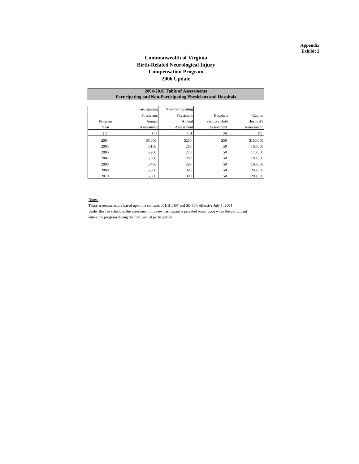#### **Commonwealth of Virginia Birth-Related Neurological Injury 2006 Update Compensation Program**

#### **Participating and Non-Participating Physicians and Hospitals 2004-2010 Table of Assessments**

|         | Participating | Non-Participating |                |            |
|---------|---------------|-------------------|----------------|------------|
|         | Physicians    | Physicians        | Hospitals      | Cap on     |
| Program | Annual        | Annual            | Per Live Birth | Hospital's |
| Year    | Assessment    | Assessment        | Assessment     | Assessment |
| (1)     | (2)           | (3)               | (4)            | (5)        |
| 2004    | \$5,000       | \$250             | \$50           | \$150,000  |
| 2005    | 5,100         | 260               | 50             | 160,000    |
| 2006    | 5,200         | 270               | 50             | 170,000    |
| 2007    | 5,300         | 280               | 50             | 180,000    |
| 2008    | 5,400         | 290               | 50             | 190,000    |
| 2009    | 5,500         | 300               | 50             | 200,000    |
| 2010    | 5,500         | 300               | 50             | 200,000    |

#### Notes:

These assessments are based upon the contents of HB 1407 and SB 687, effective July 1, 2004 Under this fee schedule, the assessment of a new participant is prorated based upon when the participant enters the program during the first year of participation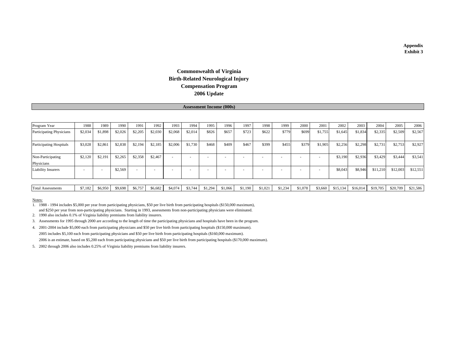### **2006 Update Commonwealth of Virginia Birth-Related Neurological Injury Compensation Program**

#### **Assessment Income (000s)**

| Program Year                    | 1988                     | 1989    | 1990    | 1991                     | 1992    | 1993    | 1994    | 1995    | 1996    | 1997    | 1998    | 1999    | 2000    | 2001    | 2002     | 2003     | 2004     | 2005     | 2006     |
|---------------------------------|--------------------------|---------|---------|--------------------------|---------|---------|---------|---------|---------|---------|---------|---------|---------|---------|----------|----------|----------|----------|----------|
| Participating Physicians        | \$2,034                  | \$1,898 | \$2,026 | \$2,205                  | \$2,030 | \$2,068 | \$2,014 | \$826   | \$657   | \$723   | \$622   | \$779   | \$699   | \$1,755 | \$1,645  | \$1,834  | \$2,335  | \$2,509  | \$2,567  |
| <b>Participating Hospitals</b>  | \$3,028                  | \$2,861 | \$2,838 | \$2,194                  | \$2,185 | \$2,006 | \$1,730 | \$468   | \$409   | \$467   | \$399   | \$455   | \$379   | \$1,905 | \$2,256  | \$2,298  | \$2,731  | \$2,753  | \$2,927  |
| Non-Participating<br>Physicians | \$2,120                  | \$2,191 | \$2,265 | \$2,358                  | \$2,467 |         |         |         |         | ٠       |         |         |         |         | \$3,190  | \$2,936  | \$3,429  | \$3,444  | \$3,541  |
| <b>Liability Insurers</b>       | $\overline{\phantom{a}}$ |         | \$2,569 | $\overline{\phantom{a}}$ |         |         |         |         |         | ٠       |         |         |         |         | \$8,043  | \$8,946  | \$11,210 | \$12,003 | \$12,551 |
|                                 |                          |         |         |                          |         |         |         |         |         |         |         |         |         |         |          |          |          |          |          |
| <b>Total Assessments</b>        | \$7,182                  | \$6,950 | \$9,698 | \$6,757                  | \$6,682 | \$4,074 | \$3,744 | \$1,294 | \$1,066 | \$1,190 | \$1,021 | \$1,234 | \$1,078 | \$3,660 | \$15,134 | \$16,014 | \$19,705 | \$20,709 | \$21,586 |

Notes:

1. 1988 - 1994 includes \$5,000 per year from participating physicians, \$50 per live birth from participating hospitals (\$150,000 maximum), and \$250 per year from non-participating physicians. Starting in 1993, assessments from non-participating physicians were eliminated.

2. 1990 also includes 0.1% of Virginia liability premiums from liability insurers.

3. Assessments for 1995 through 2000 are according to the length of time the participating physicians and hospitals have been in the program.

4. 2001-2004 include \$5,000 each from participating physicians and \$50 per live birth from participating hospitals (\$150,000 maximum). 2005 includes \$5,100 each from participating physicians and \$50 per live birth from participating hospitals (\$160,000 maximum). 2006 is an estimate, based on \$5,200 each from participating physicians and \$50 per live birth from participating hospitals (\$170,000 maximum).

5. 2002 through 2006 also includes 0.25% of Virginia liability premiums from liability insurers.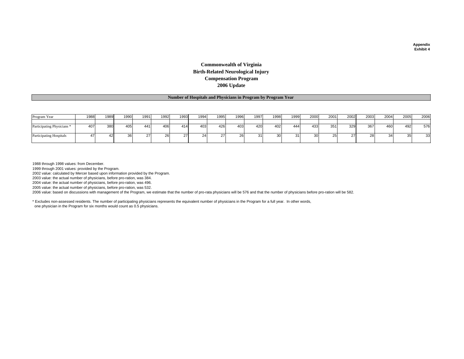#### **Commonwealth of Virginia Birth-Related Neurological Injury Compensation Program 2006 Update**

#### **Number of Hospitals and Physicians in Program by Program Year**

| Program Year                          | 1988 | 1989 | 1990   | 1991 | 1992 | 1993 | 1994 | 1995 | 1996   | 1997 | 1998 | 1999    | 2000 | 2001        | 2002 | 2003 | 2004   | 2005   | 2006 |
|---------------------------------------|------|------|--------|------|------|------|------|------|--------|------|------|---------|------|-------------|------|------|--------|--------|------|
|                                       |      |      |        |      |      |      |      |      |        |      |      |         |      |             |      |      |        |        |      |
| Participating Physicians <sup>*</sup> | 407  | 380  | 405    | 44   | 406  | 414  | 403  | 426  | 403    | 420  | 402  | 444     | 433  | 351         | 329  | 367  | 460    | 492    | 576  |
| Participating Hospitals               |      |      | $\sim$ |      |      |      |      |      | $\sim$ | . .  | ات   | $\cdot$ |      | $\sim$<br>້ |      |      | $\sim$ | $\sim$ | 33   |

1988 through 1998 values: from December.

1999 through 2001 values: provided by the Program.

2002 value: calculated by Mercer based upon information provided by the Program.

2003 value: the actual number of physicians, before pro-ration, was 384.

2004 value: the actual number of physicians, before pro-ration, was 496.

2005 value: the actual number of physicians, before pro-ration, was 532.

2006 value: based on discussions with management of the Program, we estimate that the number of pro-rata physicians will be 576 and that the number of physicians before pro-ration will be 582.

\* Excludes non-assessed residents. The number of participating physicians represents the equivalent number of physicians in the Program for a full year. In other words, one physician in the Program for six months would count as 0.5 physicians.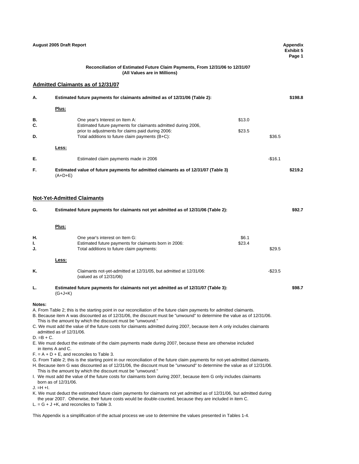|           | August 2005 Draft Report                                                                                                                                                                                                                                                                                                                                                                                                                                                                                    |          | Appendix<br><b>Exhibit 5</b><br>Page 1 |
|-----------|-------------------------------------------------------------------------------------------------------------------------------------------------------------------------------------------------------------------------------------------------------------------------------------------------------------------------------------------------------------------------------------------------------------------------------------------------------------------------------------------------------------|----------|----------------------------------------|
|           | Reconciliation of Estimated Future Claim Payments, From 12/31/06 to 12/31/07<br>(All Values are in Millions)                                                                                                                                                                                                                                                                                                                                                                                                |          |                                        |
|           | <b>Admitted Claimants as of 12/31/07</b>                                                                                                                                                                                                                                                                                                                                                                                                                                                                    |          |                                        |
| А.        | Estimated future payments for claimants admitted as of 12/31/06 (Table 2):                                                                                                                                                                                                                                                                                                                                                                                                                                  |          | \$198.8                                |
|           | Plus:                                                                                                                                                                                                                                                                                                                                                                                                                                                                                                       |          |                                        |
| В.        | \$13.0<br>One year's Interest on Item A:                                                                                                                                                                                                                                                                                                                                                                                                                                                                    |          |                                        |
| С.        | Estimated future payments for claimants admitted during 2006,<br>prior to adjustments for claims paid during 2006:<br>\$23.5                                                                                                                                                                                                                                                                                                                                                                                |          |                                        |
| D.        | Total additions to future claim payments (B+C):                                                                                                                                                                                                                                                                                                                                                                                                                                                             | \$36.5   |                                        |
|           | Less:                                                                                                                                                                                                                                                                                                                                                                                                                                                                                                       |          |                                        |
| Е.        | Estimated claim payments made in 2006                                                                                                                                                                                                                                                                                                                                                                                                                                                                       | $-$16.1$ |                                        |
| F.        | Estimated value of future payments for admitted claimants as of 12/31/07 (Table 3)<br>$(A+D+E)$                                                                                                                                                                                                                                                                                                                                                                                                             |          | \$219.2                                |
|           | <b>Not-Yet-Admitted Claimants</b>                                                                                                                                                                                                                                                                                                                                                                                                                                                                           |          |                                        |
| G.        | Estimated future payments for claimants not yet admitted as of 12/31/06 (Table 2):                                                                                                                                                                                                                                                                                                                                                                                                                          |          | \$92.7                                 |
|           | Plus:                                                                                                                                                                                                                                                                                                                                                                                                                                                                                                       |          |                                        |
| Н.        | \$6.1<br>One year's interest on Item G:                                                                                                                                                                                                                                                                                                                                                                                                                                                                     |          |                                        |
| ı.<br>J.  | Estimated future payments for claimants born in 2006:<br>\$23.4<br>Total additions to future claim payments:                                                                                                                                                                                                                                                                                                                                                                                                | \$29.5   |                                        |
|           | Less:                                                                                                                                                                                                                                                                                                                                                                                                                                                                                                       |          |                                        |
| K.        | Claimants not-yet-admitted at 12/31/05, but admitted at 12/31/06:<br>(valued as of 12/31/06)                                                                                                                                                                                                                                                                                                                                                                                                                | $-$23.5$ |                                        |
| L.        | Estimated future payments for claimants not yet admitted as of 12/31/07 (Table 3):<br>$(G+J+K)$                                                                                                                                                                                                                                                                                                                                                                                                             |          | \$98.7                                 |
| Notes:    | A. From Table 2; this is the starting point in our reconciliation of the future claim payments for admitted claimants.<br>B. Because item A was discounted as of 12/31/06, the discount must be "unwound" to determine the value as of 12/31/06.<br>This is the amount by which the discount must be "unwound."<br>C. We must add the value of the future costs for claimants admitted during 2007, because item A only includes claimants<br>admitted as of 12/31/06.<br>D. =B + C.                        |          |                                        |
|           | E. We must deduct the estimate of the claim payments made during 2007, because these are otherwise included<br>in items A and C.<br>$F = A + D + E$ , and reconciles to Table 3.<br>G. From Table 2; this is the starting point in our reconciliation of the future claim payments for not-yet-admitted claimants.<br>H. Because item G was discounted as of 12/31/06, the discount must be "unwound" to determine the value as of 12/31/06.<br>This is the amount by which the discount must be "unwound." |          |                                        |
| J. =H +I. | I. We must add the value of the future costs for claimants born during 2007, because item G only includes claimants<br>born as of 12/31/06.<br>K. We must deduct the estimated future claim payments for claimants not yet admitted as of 12/31/06, but admitted during<br>the year 2007. Otherwise, their future costs would be double-counted, because they are included in item C.                                                                                                                       |          |                                        |
|           | $L = G + J + K$ , and reconciles to Table 3.<br>This Appendix is a simplification of the actual process we use to determine the values presented in Tables 1-4.                                                                                                                                                                                                                                                                                                                                             |          |                                        |